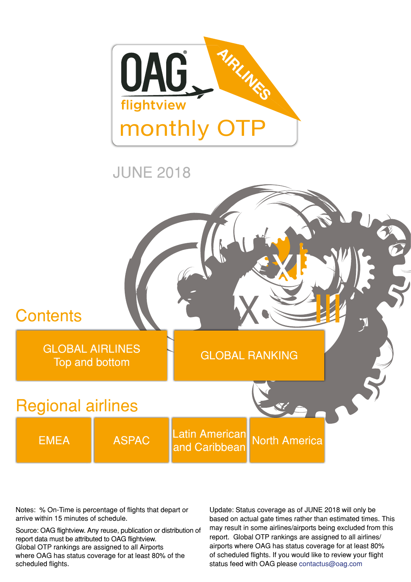



Notes: % On-Time is percentage of flights that depart or arrive within 15 minutes of schedule.

Source: OAG flightview. Any reuse, publication or distribution of report data must be attributed to OAG flightview.

Global OTP rankings are assigned to all Airports where OAG has status coverage for at least 80% of the scheduled flights.

Update: Status coverage as of JUNE 2018 will only be based on actual gate times rather than estimated times. This may result in some airlines/airports being excluded from this report. Global OTP rankings are assigned to all airlines/ airports where OAG has status coverage for at least 80% of scheduled flights. If you would like to review your flight status feed with OAG please [contactus@oag.com](mailto:contactus%40oag.com?subject=)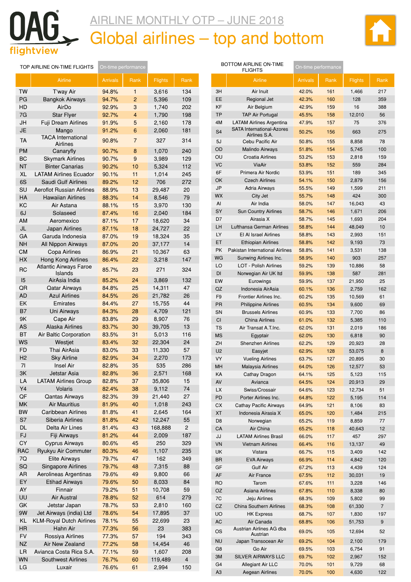<span id="page-1-0"></span>

### AIRLINE MONTHLY OTP – JUNE 2018 Global airlines – top and bottom



|                | TOP AIRLINE ON-TIME FLIGHTS              | On-time performance |                |                |      |
|----------------|------------------------------------------|---------------------|----------------|----------------|------|
|                | Airline                                  | <b>Arrivals</b>     | Rank           | <b>Flights</b> | Rank |
| <b>TW</b>      | T'way Air                                | 94.8%               | 1              | 3,616          | 134  |
| PG             | <b>Bangkok Airways</b>                   | 94.7%               | 2              | 5,396          | 109  |
| HD             | AirDo                                    | 92.9%               | 3              | 1,740          | 202  |
| 7G             | <b>Star Flyer</b>                        | 92.7%               | $\overline{4}$ | 1,790          | 198  |
| JH             | Fuji Dream Airlines                      | 91.9%               | 5              | 2,160          | 178  |
| <b>JE</b>      | Mango                                    | 91.2%               | 6              | 2,060          | 181  |
|                | <b>TACA International</b>                |                     |                |                |      |
| <b>TA</b>      | <b>Airlines</b>                          | 90.8%               | $\overline{7}$ | 327            | 314  |
| <b>PM</b>      | Canaryfly                                | 90.7%               | 8              | 1,070          | 240  |
| BС             | <b>Skymark Airlines</b>                  | 90.7%               | 9              | 3,989          | 129  |
| <b>NT</b>      | <b>Binter Canarias</b>                   | 90.2%               | 10             | 5,324          | 112  |
| <b>XL</b>      | <b>LATAM Airlines Ecuador</b>            | 90.1%               | 11             | 1,014          | 245  |
| 6S             | Saudi Gulf Airlines                      | 89.2%               | 12             | 706            | 272  |
| SU             | <b>Aeroflot Russian Airlines</b>         | 88.9%               | 13             | 29,487         | 20   |
| HA             | <b>Hawaiian Airlines</b>                 | 88.3%               | 14             | 8,546          | 79   |
| KC             | Air Astana                               | 88.1%               | 15             | 3,970          | 130  |
| 6J             | Solaseed                                 | 87.4%               | 16             | 2,040          | 184  |
| AM             | Aeromexico                               | 87.1%               | 17             |                | 34   |
|                |                                          |                     |                | 18,620         |      |
| JL             | Japan Airlines                           | 87.1%               | 18             | 24,727         | 22   |
| GA             | Garuda Indonesia                         | 87.0%               | 19             | 18,324         | 35   |
| <b>NH</b>      | All Nippon Airways                       | 87.0%               | 20             | 37,177         | 14   |
| <b>CM</b>      | Copa Airlines                            | 86.9%               | 21             | 10,367         | 63   |
| <b>HX</b>      | <b>Hong Kong Airlines</b>                | 86.4%               | 22             | 3,218          | 147  |
| RC             | <b>Atlantic Airways Faroe</b><br>Islands | 85.7%               | 23             | 271            | 324  |
| 15             | AirAsia India                            | 85.2%               | 24             | 3,869          | 132  |
| QR             | Qatar Airways                            | 84.8%               | 25             | 14,311         | 47   |
| <b>AD</b>      | <b>Azul Airlines</b>                     | 84.5%               | 26             | 21,782         | 26   |
| EK             | Emirates                                 | 84.4%               | 27             | 15,755         | 44   |
| B7             | Uni Airways                              | 84.3%               | 28             | 4,709          | 121  |
| 9K             | Cape Air                                 | 83.8%               | 29             | 8,907          | 76   |
| AS             | <b>Alaska Airlines</b>                   | 83.7%               | 30             | 39,705         | 13   |
| <b>BT</b>      |                                          |                     | 31             |                | 116  |
| WS             | Air Baltic Corporation                   | 83.5%<br>83.4%      |                | 5,013          | 24   |
|                | Westjet                                  |                     | 32             | 22,304         |      |
| <b>FD</b>      | Thai AirAsia                             | 83.0%               | 33             | 11,330         | 57   |
| H <sub>2</sub> | <b>Sky Airline</b>                       | 82.9%               | 34             | 2,270          | 173  |
| 71             | <b>Insel Air</b>                         | 82.8%               | 35             | 535            | 286  |
| ЗK             | Jetstar Asia                             | 82.8%               | 36             | 2,571          | 168  |
| LA             | <b>LATAM Airlines Group</b>              | 82.8%               | 37             | 35,806         | 15   |
| Y4             | Volaris                                  | 82.4%               | 38             | 9,112          | 74   |
| QF             | <b>Qantas Airways</b>                    | 82.3%               | 39             | 21,440         | 27   |
| MK             | <b>Air Mauritius</b>                     | 81.9%               | 40             | 1,018          | 243  |
| <b>BW</b>      | Caribbean Airlines                       | 81.8%               | 41             | 2,645          | 164  |
| S7             | Siberia Airlines                         | 81.8%               | 42             | 12,247         | 55   |
| DL             | Delta Air Lines                          | 81.4%               | 43             | 168,888        | 2    |
| FJ             | Fiji Airways                             | 81.2%               | 44             | 2,009          | 187  |
| CY             | <b>Cyprus Airways</b>                    | 80.6%               | 45             | 250            | 329  |
| <b>RAC</b>     | Ryukyu Air Commuter                      | 80.3%               | 46             | 1,107          | 235  |
| 7Q             | <b>Elite Airways</b>                     | 79.7%               | 47             | 162            | 349  |
| SQ             | <b>Singapore Airlines</b>                | 79.7%               | 48             | 7,315          | 88   |
| AR             | Aerolineas Argentinas                    | 79.6%               | 49             | 9,800          | 66   |
|                |                                          |                     |                |                |      |
| EY             | <b>Etihad Airways</b>                    | 79.6%               | 50             | 8,033          | 84   |
| AY             | Finnair                                  | 79.2%               | 51             | 10,708         | 59   |
| UU             | <b>Air Austral</b>                       | 78.8%               | 52             | 614            | 279  |
| GK             | Jetstar Japan                            | 78.7%               | 53             | 2,810          | 160  |
| 9W             | Jet Airways (india) Ltd                  | 78.6%               | 54             | 17,895         | 37   |
| KL             | <b>KLM-Royal Dutch Airlines</b>          | 78.1%               | 55             | 22,699         | 23   |
| HR             | Hahn Air                                 | 77.3%               | 56             | 23             | 383  |
| <b>FV</b>      | Rossiya Airlines                         | 77.3%               | 57             | 194            | 343  |
| <b>NZ</b>      | Air New Zealand                          | 77.2%               | 58             | 14,454         | 46   |
| LR             | Avianca Costa Rica S.A.                  | 77.1%               | 59             | 1,607          | 208  |
| <b>WN</b>      | <b>Southwest Airlines</b>                | 76.7%               | 60             | 119,489        | 4    |

LG Luxair <mark>76.6% 61</mark> 2,994 150

|                | BOTTOM AIRLINE ON-TIME<br><b>FLIGHTS</b>            |                 | On-time performance |                  |                |
|----------------|-----------------------------------------------------|-----------------|---------------------|------------------|----------------|
|                | Airline                                             | <b>Arrivals</b> | Rank                | <b>Flights</b>   | Rank           |
| ЗH             | Air Inuit                                           | 42.0%           | 161                 | 1,466            | 217            |
| EE             | Regional Jet                                        | 42.3%           | 160                 | 128              | 359            |
| KF             | Air Belgium                                         | 42.9%           | 159                 | 16               | 388            |
| TP             | <b>TAP Air Portugal</b>                             | 45.5%           | 158                 | 12,010           | 56             |
| 4M             | <b>LATAM Airlines Argentina</b>                     | 47.9%           | 157                 | 75               | 376            |
| S <sub>4</sub> | <b>SATA International-Azores</b><br>Airlines S.A.   | 50.2%           | 156                 | 663              | 275            |
| 5J             | Cebu Pacific Air                                    | 50.8%           | 155                 | 8,858            | 78             |
| OD             | <b>Malindo Airways</b>                              | 51.8%           | 154                 | 5,745            | 100            |
| OU             | <b>Croatia Airlines</b>                             | 53.2%           | 153                 | 2,818            | 159            |
| VC             | ViaAir                                              | 53.8%           | 152                 | 559              | 284            |
| 6F             | Primera Air Nordic                                  | 53.9%           | 151                 | 189              | 345            |
| OK             | <b>Czech Airlines</b>                               | 54.1%           | 150                 | 2,879            | 156            |
| JP             | <b>Adria Airways</b>                                | 55.5%           | 149                 | 1,599            | 211            |
| <b>WX</b>      | City Jet                                            | 55.7%           | 148                 | 424              | 300            |
| AI             | Air India                                           | 58.0%           | 147                 | 16,043           | 43             |
| SY             | <b>Sun Country Airlines</b>                         | 58.7%           | 146                 | 1,671            | 206            |
| D7             | Airasia X                                           | 58.7%           | 145                 | 1,693            | 204            |
| LН             | Lufthansa German Airlines                           | 58.8%           | 144                 | 48,049           | 10             |
| LY             | El Al Israel Airlines                               | 58.8%           | 143                 | 2,993            | 151            |
| ET             | <b>Ethiopian Airlines</b>                           | 58.8%           | 142                 | 9,193            | 73             |
| PK             | Pakistan International Airlines                     | 58.8%           | 141                 | 3,531            | 138            |
| WG             | Sunwing Airlines Inc.                               | 58.9%           | 140                 | 903              | 257            |
| LO             | <b>LOT - Polish Airlines</b>                        | 59.2%           | 139                 | 10,886           | 58             |
| <b>DI</b>      | Norwegian Air UK Itd                                | 59.9%           | 138                 | 587              | 281            |
| EW             | Eurowings                                           | 59.9%           | 137                 | 21,950           | 25             |
| QZ             | Indonesia AirAsia                                   | 60.1%           | 136                 | 2,759            | 162            |
| F <sub>9</sub> | Frontier Airlines Inc.                              | 60.2%           | 135                 | 10,569           | 61             |
| <b>PR</b>      | <b>Philippine Airlines</b>                          | 60.5%           | 134                 | 9,600            | 69             |
| SN             | <b>Brussels Airlines</b>                            | 60.9%           | 133                 | 7,700            | 86             |
| <b>CI</b>      | <b>China Airlines</b>                               | 61.0%           | 132                 | 5,385            | 110            |
| TS             | Air Transat A.T.Inc.                                | 62.0%           | 131                 | 2,019            | 186            |
| <b>MS</b>      | Egyptair                                            | 62.0%           | 130                 | 6,818            | 90             |
| ZΗ             | <b>Shenzhen Airlines</b>                            | 62.2%           | 129                 | 20,923           | 28             |
| U2<br>VY       | Easyjet                                             | 62.9%           | 128                 | 53,075           | 8              |
| <b>MH</b>      | <b>Vueling Airlines</b><br><b>Malavsia Airlines</b> | 63.7%<br>64.0%  | 127<br>126          | 20,895<br>12,577 | 30<br>53       |
| ΚA             | Cathay Dragon                                       | 64.1%           | 125                 | 5,123            | 115            |
| AV             | Avianca                                             | 64.5%           | 124                 | 20,913           | 29             |
| LX             | Swiss/Crossair                                      | 64.6%           | 123                 | 12,734           | 51             |
| PD             | Porter Airlines Inc.                                | 64.8%           | 122                 | 5,195            | 114            |
| СX             | <b>Cathay Pacific Airways</b>                       | 64.9%           | 121                 | 8,106            | 83             |
| ХT             | Indonesia Airasia X                                 | 65.0%           | 120                 | 1,484            | 215            |
| D8             | Norwegian                                           | 65.2%           | 119                 | 8,859            | 77             |
| CA             | Air China                                           | 65.2%           | 118                 | 40,643           | 12             |
| JJ             | <b>LATAM Airlines Brasil</b>                        | 66.0%           | 117                 | 457              | 297            |
| VN             | <b>Vietnam Airlines</b>                             | 66.4%           | 116                 | 13,137           | 49             |
| UK             | Vistara                                             | 66.7%           | 115                 | 3,409            | 142            |
| <b>BR</b>      | <b>EVA Airways</b>                                  | 66.9%           | 114                 | 4,842            | 120            |
| GF             | Gulf Air                                            | 67.2%           | 113                 | 4,439            | 124            |
| AF             | Air France                                          | 67.5%           | 112                 | 30,031           | 19             |
| <b>RO</b>      | Tarom                                               | 67.6%           | 111                 | 3,228            | 146            |
| OZ             | <b>Asiana Airlines</b>                              | 67.8%           | 110                 | 8,338            | 80             |
| 7C             | Jeju Airlines                                       | 68.3%           | 109                 | 5,802            | 99             |
| CZ             | <b>China Southern Airlines</b>                      | 68.3%           | 108                 | 61,330           | $\overline{7}$ |
| UO             | <b>HK Express</b>                                   | 68.7%           | 107                 | 1,830            | 197            |
| AC             | Air Canada                                          | 68.8%           | 106                 | 51,753           | 9              |
| OS             | Austrian Airlines AG dba                            | 69.0%           | 105                 | 12,694           | 52             |
| <b>NU</b>      | Austrian<br>Japan Transocean Air                    | 69.2%           | 104                 | 2,100            | 179            |
| G8             | Go Air                                              | 69.5%           | 103                 | 6,754            | 91             |
| 3M             | SILVER AIRWAYS LLC                                  | 69.7%           | 102                 | 2,967            | 152            |
| G4             | <b>Allegiant Air LLC</b>                            | 70.0%           | 101                 | 9,729            | 68             |
| A <sub>3</sub> | Aegean Airlines                                     | 70.0%           | 100                 | 4,630            | 122            |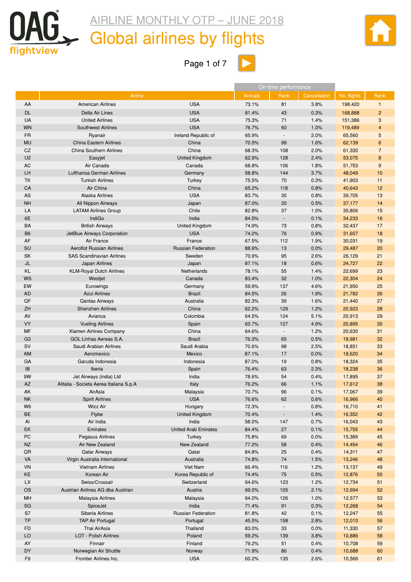<span id="page-2-0"></span>

## Global airlines by flights



Page 1 of 7 $\boxed{\phantom{1}}$ 

|                |                                         |                             |                 | On-time performance      |              |             |                |
|----------------|-----------------------------------------|-----------------------------|-----------------|--------------------------|--------------|-------------|----------------|
|                | Airline                                 |                             | <b>Arrivals</b> | Rank                     | Cancellation | No. flights | Rank           |
| AA             | <b>American Airlines</b>                | <b>USA</b>                  | 73.1%           | 81                       | 3.8%         | 198,420     | $\mathbf{1}$   |
| <b>DL</b>      | Delta Air Lines                         | <b>USA</b>                  | 81.4%           | 43                       | 0.3%         | 168,888     | $\overline{c}$ |
| <b>UA</b>      | <b>United Airlines</b>                  | <b>USA</b>                  | 75.3%           | 71                       | 1.4%         |             | 3              |
|                |                                         |                             |                 |                          |              | 151,386     |                |
| <b>WN</b>      | <b>Southwest Airlines</b>               | <b>USA</b>                  | 76.7%           | 60                       | 1.0%         | 119,489     | 4              |
| <b>FR</b>      | Ryanair                                 | Ireland Republic of         | 65.9%           | $\overline{\phantom{a}}$ | 2.0%         | 65,560      | 5              |
| <b>MU</b>      | <b>China Eastern Airlines</b>           | China                       | 70.5%           | 99                       | 1.6%         | 62,139      | 6              |
| CZ             | <b>China Southern Airlines</b>          | China                       | 68.3%           | 108                      | 2.0%         | 61,330      | $\overline{7}$ |
| U <sub>2</sub> | Easyjet                                 | <b>United Kingdom</b>       | 62.9%           | 128                      | 2.4%         | 53,075      | 8              |
| AC             | Air Canada                              | Canada                      | 68.8%           | 106                      | 1.8%         | 51,753      | 9              |
| LH             | Lufthansa German Airlines               | Germany                     | 58.8%           | 144                      | 3.7%         | 48,049      | 10             |
| TK             | <b>Turkish Airlines</b>                 | Turkey                      | 75.5%           | 70                       | 0.3%         | 41,903      | 11             |
| CA             | Air China                               | China                       | 65.2%           | 118                      | 0.8%         | 40,643      | 12             |
| AS             | Alaska Airlines                         | <b>USA</b>                  | 83.7%           | 30                       | 0.8%         | 39,705      | 13             |
| <b>NH</b>      | All Nippon Airways                      | Japan                       | 87.0%           | 20                       | 0.5%         | 37,177      | 14             |
| LA             | <b>LATAM Airlines Group</b>             | Chile                       | 82.8%           | 37                       | 1.0%         | 35,806      | 15             |
| 6E             | IndiGo                                  | India                       | 84.5%           | $\overline{\phantom{a}}$ | 0.1%         | 34,233      | 16             |
| BA             | <b>British Airways</b>                  | United Kingdom              | 74.9%           | 73                       | 0.8%         | 32,437      | 17             |
|                |                                         |                             |                 |                          |              |             |                |
| <b>B6</b>      | JetBlue Airways Corporation             | <b>USA</b>                  | 74.2%           | 76                       | 0.9%         | 31,607      | 18             |
| AF             | Air France                              | France                      | 67.5%           | 112                      | 1.9%         | 30,031      | 19             |
| SU             | <b>Aeroflot Russian Airlines</b>        | <b>Russian Federation</b>   | 88.9%           | 13                       | 0.0%         | 29,487      | 20             |
| <b>SK</b>      | <b>SAS Scandinavian Airlines</b>        | Sweden                      | 70.9%           | 95                       | 2.6%         | 26,129      | 21             |
| JL             | Japan Airlines                          | Japan                       | 87.1%           | 18                       | 0.6%         | 24,727      | 22             |
| KL             | <b>KLM-Royal Dutch Airlines</b>         | Netherlands                 | 78.1%           | 55                       | 1.4%         | 22,699      | 23             |
| WS             | Westjet                                 | Canada                      | 83.4%           | 32                       | 1.0%         | 22,304      | 24             |
| EW             | Eurowings                               | Germany                     | 59.9%           | 137                      | 4.6%         | 21,950      | 25             |
| AD             | <b>Azul Airlines</b>                    | <b>Brazil</b>               | 84.5%           | 26                       | 1.9%         | 21,782      | 26             |
| QF             | <b>Qantas Airways</b>                   | Australia                   | 82.3%           | 39                       | 1.6%         | 21,440      | 27             |
| ZH             | Shenzhen Airlines                       | China                       | 62.2%           | 129                      | 1.2%         | 20,923      | 28             |
| AV             | Avianca                                 | Colombia                    | 64.5%           | 124                      | 5.1%         | 20,913      | 29             |
| <b>VY</b>      | <b>Vueling Airlines</b>                 |                             | 63.7%           | 127                      | 4.9%         | 20,895      | 30             |
|                |                                         | Spain                       |                 |                          |              |             |                |
| MF             | Xiamen Airlines Company                 | China                       | 64.6%           | $\overline{\phantom{a}}$ | 1.2%         | 20,630      | 31             |
| G <sub>3</sub> | GOL Linhas Aereas S.A.                  | <b>Brazil</b>               | 76.3%           | 65                       | 0.5%         | 18,981      | 32             |
| <b>SV</b>      | Saudi Arabian Airlines                  | Saudi Arabia                | 70.6%           | 98                       | 2.5%         | 18,851      | 33             |
| AM             | Aeromexico                              | Mexico                      | 87.1%           | 17                       | 0.0%         | 18,620      | 34             |
| GA             | Garuda Indonesia                        | Indonesia                   | 87.0%           | 19                       | 0.8%         | 18,324      | 35             |
| IB             | Iberia                                  | Spain                       | 76.4%           | 63                       | 2.3%         | 18,238      | 36             |
| 9W             | Jet Airways (india) Ltd                 | India                       | 78.6%           | 54                       | 0.4%         | 17,895      | 37             |
| <b>AZ</b>      | Alitalia - Societa Aerea Italiana S.p.A | Italy                       | 76.2%           | 66                       | 1.1%         | 17,612      | 38             |
| AK             | AirAsia                                 | Malaysia                    | 70.7%           | 96                       | 0.1%         | 17,067      | 39             |
| <b>NK</b>      | <b>Spirit Airlines</b>                  | <b>USA</b>                  | 76.6%           | 62                       | 0.6%         | 16,966      | 40             |
| W <sub>6</sub> | <b>Wizz Air</b>                         | Hungary                     | 72.3%           |                          | 0.8%         | 16,710      | 41             |
| <b>BE</b>      | Flybe                                   | United Kingdom              | 70.4%           | ۰                        | 1.4%         | 16,352      | 42             |
| Al             | Air India                               | India                       | 58.0%           | 147                      | 0.7%         | 16,043      | 43             |
| EK             | Emirates                                | <b>United Arab Emirates</b> | 84.4%           | 27                       | 0.1%         | 15,755      | 44             |
| PC             | Pegasus Airlines                        | Turkey                      | 75.8%           | 69                       | 0.0%         | 15,389      | 45             |
|                |                                         |                             |                 |                          |              |             |                |
| <b>NZ</b>      | Air New Zealand                         | New Zealand                 | 77.2%           | 58                       | 0.4%         | 14,454      | 46             |
| QR             | Qatar Airways                           | Qatar                       | 84.8%           | 25                       | 0.4%         | 14,311      | 47             |
| VA             | Virgin Australia International          | Australia                   | 74.8%           | 74                       | 1.5%         | 13,246      | 48             |
| VN             | <b>Vietnam Airlines</b>                 | Viet Nam                    | 66.4%           | 116                      | 1.2%         | 13,137      | 49             |
| KE             | Korean Air                              | Korea Republic of           | 74.4%           | 75                       | 0.5%         | 12,876      | 50             |
| <b>LX</b>      | Swiss/Crossair                          | Switzerland                 | 64.6%           | 123                      | 1.2%         | 12,734      | 51             |
| <b>OS</b>      | Austrian Airlines AG dba Austrian       | Austria                     | 69.0%           | 105                      | 2.1%         | 12,694      | 52             |
| MH             | Malaysia Airlines                       | Malaysia                    | 64.0%           | 126                      | 1.0%         | 12,577      | 53             |
| SG             | SpiceJet                                | India                       | 71.4%           | 91                       | 0.3%         | 12,268      | 54             |
| S7             | Siberia Airlines                        | <b>Russian Federation</b>   |                 | 42                       | 0.1%         | 12,247      |                |
|                |                                         |                             | 81.8%           |                          |              |             | 55             |
| TP             | <b>TAP Air Portugal</b>                 | Portugal                    | 45.5%           | 158                      | 2.8%         | 12,010      | 56             |
| <b>FD</b>      | Thai AirAsia                            | Thailand                    | 83.0%           | 33                       | 0.0%         | 11,330      | 57             |
| LO             | LOT - Polish Airlines                   | Poland                      | 59.2%           | 139                      | 3.8%         | 10,886      | 58             |
| AY             | Finnair                                 | Finland                     | 79.2%           | 51                       | 0.4%         | 10,708      | 59             |
| <b>DY</b>      | Norwegian Air Shuttle                   | Norway                      | 71.9%           | 86                       | 0.4%         | 10,688      | 60             |
| F <sub>9</sub> | Frontier Airlines Inc.                  | <b>USA</b>                  | 60.2%           | 135                      | 2.6%         | 10,569      | 61             |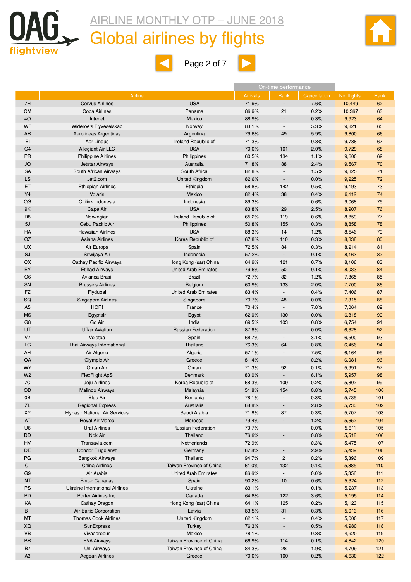

### Global airlines by flights



 $\blacksquare$ 



|                 |                                |                                        |                 | On-time performance             |              |                |          |
|-----------------|--------------------------------|----------------------------------------|-----------------|---------------------------------|--------------|----------------|----------|
|                 | Airline                        |                                        | <b>Arrivals</b> | Rank                            | Cancellation | No. flights    | Rank     |
| 7H              | <b>Corvus Airlines</b>         | <b>USA</b>                             | 71.9%           | $\blacksquare$                  | 7.6%         | 10,449         | 62       |
| <b>CM</b>       | Copa Airlines                  | Panama                                 | 86.9%           | 21                              | 0.2%         | 10,367         | 63       |
| 4O              | Interjet                       | Mexico                                 | 88.9%           | $\overline{\phantom{a}}$        | 0.3%         | 9,923          | 64       |
| WF              | Wideroe's Flyveselskap         | Norway                                 | 83.1%           | $\blacksquare$                  | 5.3%         | 9,821          | 65       |
| AR              | Aerolineas Argentinas          | Argentina                              | 79.6%           | 49                              | 5.9%         | 9,800          | 66       |
| EI              | Aer Lingus                     | Ireland Republic of                    | 71.3%           | $\blacksquare$                  | 0.8%         | 9,788          | 67       |
| G <sub>4</sub>  | <b>Allegiant Air LLC</b>       | <b>USA</b>                             | 70.0%           | 101                             | 2.0%         | 9,729          | 68       |
| <b>PR</b>       | <b>Philippine Airlines</b>     | Philippines                            | 60.5%           | 134                             | 1.1%         | 9,600          | 69       |
| JQ              | Jetstar Airways                | Australia                              | 71.8%           | 88                              | 2.4%         | 9,567          | 70       |
| <b>SA</b>       | South African Airways          | South Africa                           | 82.8%           | $\overline{\phantom{a}}$        | 1.5%         | 9,325          | 71       |
| LS              | Jet2.com                       | United Kingdom                         | 82.6%           | $\overline{\phantom{a}}$        | 0.0%         | 9,225          | 72       |
| ET              | <b>Ethiopian Airlines</b>      | Ethiopia                               | 58.8%           | 142                             | 0.5%         | 9,193          | 73       |
| Y4              | Volaris                        | Mexico                                 | 82.4%           | 38                              | 0.4%         | 9,112          | 74       |
| QG              | Citilink Indonesia             | Indonesia                              | 89.3%           | $\overline{\phantom{a}}$        | 0.6%         | 9,068          | 75       |
| 9K              | Cape Air                       | <b>USA</b>                             | 83.8%           | 29                              | 2.5%         | 8,907          | 76       |
| D <sub>8</sub>  | Norwegian                      | Ireland Republic of                    | 65.2%           | 119                             | 0.6%         | 8,859          | 77       |
| 5J              | Cebu Pacific Air               | Philippines                            | 50.8%           | 155                             | 0.3%         | 8,858          | 78       |
| HA              | <b>Hawaiian Airlines</b>       | <b>USA</b>                             | 88.3%           | 14                              | 1.2%         | 8,546          | 79       |
| <b>OZ</b>       | Asiana Airlines                | Korea Republic of                      | 67.8%           | 110                             | 0.3%         | 8,338          | 80       |
| <b>UX</b>       | Air Europa                     | Spain                                  | 72.5%           | 84                              | 0.3%         | 8,214          | 81       |
| SJ              | Sriwijaya Air                  | Indonesia                              | 57.2%           | $\sim$                          | 0.1%         | 8,163          | 82       |
| СX              | <b>Cathay Pacific Airways</b>  | Hong Kong (sar) China                  | 64.9%           | 121                             | 0.7%         | 8,106          | 83       |
| EY              | <b>Etihad Airways</b>          | <b>United Arab Emirates</b>            | 79.6%           | 50                              | 0.1%         | 8,033          | 84       |
| O <sub>6</sub>  | Avianca Brasil                 | <b>Brazil</b>                          | 72.7%           | 82                              | 1.2%         | 7,865          | 85       |
| SN<br><b>FZ</b> | <b>Brussels Airlines</b>       | Belgium<br><b>United Arab Emirates</b> | 60.9%<br>83.4%  | 133<br>$\overline{\phantom{a}}$ | 2.0%         | 7,700          | 86<br>87 |
| SQ              | Flydubai                       |                                        | 79.7%           | 48                              | 0.4%<br>0.0% | 7,406<br>7,315 | 88       |
| A <sub>5</sub>  | Singapore Airlines<br>HOP!     | Singapore<br>France                    | 70.4%           | $\blacksquare$                  | 7.8%         | 7,064          | 89       |
| <b>MS</b>       | Egyptair                       |                                        | 62.0%           | 130                             | 0.0%         | 6,818          | 90       |
| G <sub>8</sub>  | Go Air                         | Egypt<br>India                         | 69.5%           | 103                             | 0.8%         | 6,754          | 91       |
| UT              | <b>UTair Aviation</b>          | <b>Russian Federation</b>              | 87.6%           |                                 | 0.0%         | 6,628          | 92       |
| V <sub>7</sub>  | Volotea                        | Spain                                  | 68.7%           | $\overline{\phantom{a}}$        | 3.1%         | 6,500          | 93       |
| TG              | Thai Airways International     | Thailand                               | 76.3%           | 64                              | 0.8%         | 6,456          | 94       |
| AH              | Air Algerie                    | Algeria                                | 57.1%           | $\blacksquare$                  | 7.5%         | 6,164          | 95       |
| <b>OA</b>       | Olympic Air                    | Greece                                 | 81.4%           | $\overline{\phantom{a}}$        | 0.2%         | 6,081          | 96       |
| <b>WY</b>       | Oman Air                       | Oman                                   | 71.3%           | 92                              | 0.1%         | 5,991          | 97       |
| W <sub>2</sub>  | <b>FlexFlight ApS</b>          | Denmark                                | 83.0%           | $\overline{\phantom{a}}$        | 6.1%         | 5,957          | 98       |
| 7C              | Jeju Airlines                  | Korea Republic of                      | 68.3%           | 109                             | 0.2%         | 5,802          | 99       |
| OD              | <b>Malindo Airways</b>         | Malaysia                               | 51.8%           | 154                             | 0.8%         | 5,745          | 100      |
| 0B              | <b>Blue Air</b>                | Romania                                | 78.1%           |                                 | 0.3%         | 5,735          | 101      |
| <b>ZL</b>       | <b>Regional Express</b>        | Australia                              | 68.8%           |                                 | 2.8%         | 5,730          | 102      |
| XY              | Flynas - National Air Services | Saudi Arabia                           | 71.8%           | 87                              | 0.3%         | 5,707          | 103      |
| AT              | Royal Air Maroc                | Morocco                                | 79.4%           |                                 | 1.2%         | 5,652          | 104      |
| U <sub>6</sub>  | <b>Ural Airlines</b>           | <b>Russian Federation</b>              | 73.7%           | $\overline{\phantom{a}}$        | 0.0%         | 5,611          | 105      |
| DD              | Nok Air                        | Thailand                               | 76.6%           |                                 | 0.8%         | 5,518          | 106      |
| HV              | Transavia.com                  | Netherlands                            | 72.9%           | $\overline{\phantom{a}}$        | 0.3%         | 5,475          | 107      |
| DE              | <b>Condor Flugdienst</b>       | Germany                                | 67.8%           | $\overline{\phantom{a}}$        | 2.9%         | 5,439          | 108      |
| PG              | <b>Bangkok Airways</b>         | Thailand                               | 94.7%           | $\overline{c}$                  | 0.2%         | 5,396          | 109      |
| CI              | <b>China Airlines</b>          | Taiwan Province of China               | 61.0%           | 132                             | 0.1%         | 5,385          | 110      |
| G <sub>9</sub>  | Air Arabia                     | <b>United Arab Emirates</b>            | 86.6%           | $\overline{\phantom{a}}$        | 0.0%         | 5,356          | 111      |
| <b>NT</b>       | <b>Binter Canarias</b>         | Spain                                  | 90.2%           | 10                              | 0.6%         | 5,324          | 112      |
| <b>PS</b>       | Ukraine International Airlines | Ukraine                                | 83.1%           | $\overline{\phantom{a}}$        | 0.1%         | 5,237          | 113      |
| PD              | Porter Airlines Inc.           | Canada                                 | 64.8%           | 122                             | 3.6%         | 5,195          | 114      |
| KA              | Cathay Dragon                  | Hong Kong (sar) China                  | 64.1%           | 125                             | 0.2%         | 5,123          | 115      |
| BT              | Air Baltic Corporation         | Latvia                                 | 83.5%           | 31                              | 0.3%         | 5,013          | 116      |
| MT              | <b>Thomas Cook Airlines</b>    | United Kingdom                         | 62.1%           | $\overline{\phantom{a}}$        | 0.4%         | 5,000          | 117      |
| XQ              | SunExpress                     | <b>Turkey</b>                          | 76.3%           | $\centerdot$                    | 0.5%         | 4,980          | 118      |
| VB              | Vivaaerobus                    | Mexico                                 | 78.1%           | $\overline{\phantom{a}}$        | 0.3%         | 4,920          | 119      |
| <b>BR</b>       | <b>EVA Airways</b>             | Taiwan Province of China               | 66.9%           | 114                             | 0.1%         | 4,842          | 120      |
| <b>B7</b>       | Uni Airways                    | Taiwan Province of China               | 84.3%           | 28                              | 1.9%         | 4,709          | 121      |
| A <sub>3</sub>  | Aegean Airlines                | Greece                                 | 70.0%           | 100                             | 0.2%         | 4,630          | 122      |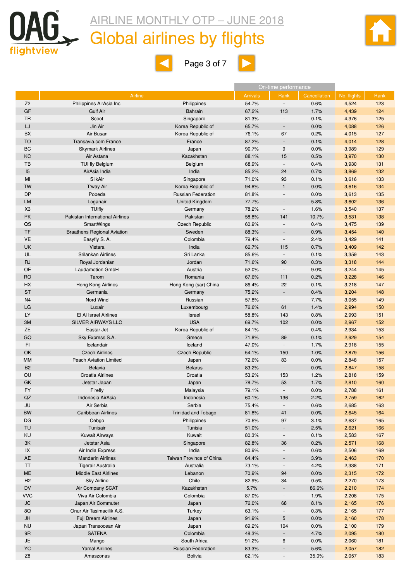

## Global airlines by flights





|                        |                                    |                           |                 | On-time performance      |              |             |      |
|------------------------|------------------------------------|---------------------------|-----------------|--------------------------|--------------|-------------|------|
|                        | Airline                            |                           | <b>Arrivals</b> | Rank                     | Cancellation | No. flights | Rank |
| Z <sub>2</sub>         | Philippines AirAsia Inc.           | Philippines               | 54.7%           | $\overline{\phantom{a}}$ | 0.6%         | 4,524       | 123  |
| GF                     | <b>Gulf Air</b>                    | <b>Bahrain</b>            | 67.2%           | 113                      | 1.7%         | 4,439       | 124  |
| TR                     | Scoot                              | Singapore                 | 81.3%           | $\overline{\phantom{a}}$ | 0.1%         | 4,376       | 125  |
| LJ                     | Jin Air                            | Korea Republic of         | 65.7%           | $\blacksquare$           | 0.0%         | 4,088       | 126  |
| BX                     | Air Busan                          | Korea Republic of         | 76.1%           | 67                       | 0.2%         | 4,015       | 127  |
| <b>TO</b>              | Transavia.com France               | France                    | 87.2%           | $\overline{\phantom{a}}$ | 0.1%         | 4,014       | 128  |
| BC                     | <b>Skymark Airlines</b>            | Japan                     | 90.7%           | 9                        | 0.0%         | 3,989       | 129  |
| KC                     | Air Astana                         | Kazakhstan                | 88.1%           | 15                       | 0.5%         | 3,970       | 130  |
| TB                     | <b>TUI fly Belgium</b>             | Belgium                   | 68.9%           | $\overline{\phantom{a}}$ | 0.4%         | 3,930       | 131  |
| 15                     | AirAsia India                      | India                     | 85.2%           | 24                       | 0.7%         | 3,869       | 132  |
| MI                     | SilkAir                            | Singapore                 | 71.0%           | 93                       | 0.1%         | 3,616       | 133  |
| <b>TW</b>              | T'way Air                          | Korea Republic of         | 94.8%           | $\mathbf{1}$             | 0.0%         | 3,616       | 134  |
| DP                     | Pobeda                             | <b>Russian Federation</b> | 81.8%           |                          | 0.0%         | 3,613       | 135  |
| <b>LM</b>              | Loganair                           | United Kingdom            | 77.7%           |                          | 5.8%         | 3,602       | 136  |
| X <sub>3</sub>         | <b>TUIfly</b>                      | Germany                   | 78.2%           | $\overline{\phantom{a}}$ | 1.6%         | 3,540       | 137  |
| PK                     | Pakistan International Airlines    | Pakistan                  | 58.8%           | 141                      | 10.7%        | 3,531       | 138  |
| QS                     | SmartWings                         | <b>Czech Republic</b>     | 60.9%           |                          | 0.4%         | 3,475       | 139  |
| TF                     | <b>Braathens Regional Aviation</b> | Sweden                    | 88.3%           | $\overline{\phantom{a}}$ | 0.9%         | 3,454       | 140  |
| <b>VE</b>              | Easyfly S. A.                      | Colombia                  | 79.4%           |                          | 2.4%         |             | 141  |
| UK                     |                                    | India                     | 66.7%           |                          | 0.7%         | 3,429       | 142  |
| UL                     | Vistara<br>Srilankan Airlines      | Sri Lanka                 | 85.6%           | 115                      |              | 3,409       | 143  |
|                        |                                    | Jordan                    | 71.6%           | 90                       | 0.1%         | 3,359       | 144  |
| <b>RJ</b><br><b>OE</b> | Royal Jordanian                    |                           |                 | $\overline{\phantom{a}}$ | 0.3%         | 3,318       |      |
|                        | <b>Laudamotion GmbH</b>            | Austria                   | 52.0%           |                          | 9.0%         | 3,244       | 145  |
| <b>RO</b>              | Tarom                              | Romania                   | 67.6%           | 111<br>22                | 0.2%         | 3,228       | 146  |
| HX                     | Hong Kong Airlines                 | Hong Kong (sar) China     | 86.4%           |                          | 0.1%         | 3,218       | 147  |
| <b>ST</b>              | Germania                           | Germany                   | 75.2%           |                          | 0.4%         | 3,204       | 148  |
| N <sub>4</sub>         | Nord Wind                          | Russian                   | 57.8%           |                          | 7.7%         | 3,055       | 149  |
| LG                     | Luxair                             | Luxembourg                | 76.6%           | 61                       | 1.4%         | 2,994       | 150  |
| LY                     | El Al Israel Airlines              | Israel                    | 58.8%           | 143                      | 0.8%         | 2,993       | 151  |
| 3M                     | SILVER AIRWAYS LLC                 | <b>USA</b>                | 69.7%           | 102                      | 0.0%         | 2,967       | 152  |
| <b>ZE</b>              | Eastar Jet                         | Korea Republic of         | 84.1%           | $\overline{\phantom{a}}$ | 0.4%         | 2,934       | 153  |
| GQ                     | Sky Express S.A.                   | Greece                    | 71.8%           | 89                       | 0.1%         | 2,929       | 154  |
| FI                     | Icelandair                         | Iceland                   | 47.0%           | $\overline{\phantom{a}}$ | 1.7%         | 2,918       | 155  |
| OK                     | <b>Czech Airlines</b>              | <b>Czech Republic</b>     | 54.1%           | 150                      | 1.0%         | 2,879       | 156  |
| <b>MM</b>              | Peach Aviation Limited             | Japan                     | 72.6%           | 83                       | 0.0%         | 2,848       | 157  |
| B <sub>2</sub>         | <b>Belavia</b>                     | <b>Belarus</b>            | 83.2%           |                          | 0.0%         | 2,847       | 158  |
| OU                     | Croatia Airlines                   | Croatia                   | 53.2%           | 153                      | 1.2%         | 2,818       | 159  |
| GK                     | Jetstar Japan                      | Japan                     | 78.7%           | 53                       | 1.7%         | 2,810       | 160  |
| <b>FY</b>              | Firefly                            | Malaysia                  | 79.1%           |                          | 0.0%         | 2,788       | 161  |
| QZ                     | Indonesia AirAsia                  | Indonesia                 | 60.1%           | 136                      | 2.2%         | 2,759       | 162  |
| JU                     | Air Serbia                         | Serbia                    | 75.4%           |                          | 0.6%         | 2,685       | 163  |
| <b>BW</b>              | <b>Caribbean Airlines</b>          | Trinidad and Tobago       | 81.8%           | 41                       | 0.0%         | 2,645       | 164  |
| DG                     | Cebgo                              | Philippines               | 70.6%           | 97                       | 3.1%         | 2,637       | 165  |
| <b>TU</b>              | Tunisair                           | Tunisia                   | 51.0%           | $\overline{\phantom{a}}$ | 2.5%         | 2,621       | 166  |
| KU                     | <b>Kuwait Airways</b>              | Kuwait                    | 80.3%           | $\overline{\phantom{a}}$ | 0.1%         | 2,583       | 167  |
| 3K                     | Jetstar Asia                       | Singapore                 | 82.8%           | 36                       | 0.2%         | 2,571       | 168  |
| $\sf IX$               | Air India Express                  | India                     | 80.9%           | $\overline{\phantom{a}}$ | 0.6%         | 2,506       | 169  |
| AE                     | <b>Mandarin Airlines</b>           | Taiwan Province of China  | 64.4%           |                          | 3.9%         | 2,463       | 170  |
| TT                     | <b>Tigerair Australia</b>          | Australia                 | 73.1%           |                          | 4.2%         | 2,338       | 171  |
| <b>ME</b>              | <b>Middle East Airlines</b>        | Lebanon                   | 70.9%           | 94                       | 0.0%         | 2,315       | 172  |
| H <sub>2</sub>         | <b>Sky Airline</b>                 | Chile                     | 82.9%           | 34                       | 0.5%         | 2,270       | 173  |
| DV                     | Air Company SCAT                   | Kazakhstan                | 5.7%            |                          | 86.6%        | 2,210       | 174  |
| <b>VVC</b>             | Viva Air Colombia                  | Colombia                  | 87.0%           | $\overline{\phantom{a}}$ | 1.9%         | 2,208       | 175  |
| <b>JC</b>              | Japan Air Commuter                 | Japan                     | 76.0%           | 68                       | 8.1%         | 2,165       | 176  |
| 8Q                     | Onur Air Tasimacilik A.S.          | Turkey                    | 63.1%           |                          | 0.3%         | 2,165       | 177  |
| JH                     | Fuji Dream Airlines                | Japan                     | 91.9%           | 5                        | 0.0%         | 2,160       | 178  |
| <b>NU</b>              | Japan Transocean Air               | Japan                     | 69.2%           | 104                      | 0.0%         | 2,100       | 179  |
| 9R                     | <b>SATENA</b>                      | Colombia                  | 48.3%           |                          | 4.7%         | 2,095       | 180  |
| JE                     | Mango                              | South Africa              | 91.2%           | 6                        | 0.0%         | 2,060       | 181  |
| <b>YC</b>              | <b>Yamal Airlines</b>              | <b>Russian Federation</b> | 83.3%           |                          | 5.6%         | 2,057       | 182  |
| Z <sub>8</sub>         | Amaszonas                          | <b>Bolivia</b>            | 62.1%           | $\blacksquare$           | 35.0%        | 2,057       | 183  |
|                        |                                    |                           |                 |                          |              |             |      |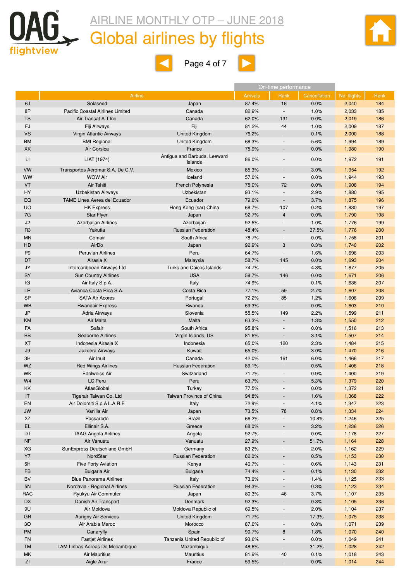

## Global airlines by flights





|                |                                     |                              |                 | On-time performance          |              |             |      |
|----------------|-------------------------------------|------------------------------|-----------------|------------------------------|--------------|-------------|------|
|                | Airline                             |                              | <b>Arrivals</b> | Rank                         | Cancellation | No. flights | Rank |
| 6J             | Solaseed                            | Japan                        | 87.4%           | 16                           | 0.0%         | 2,040       | 184  |
| 8P             | Pacific Coastal Airlines Limited    | Canada                       | 82.9%           | $\overline{\phantom{a}}$     | 1.0%         | 2,033       | 185  |
| <b>TS</b>      | Air Transat A.T.Inc.                | Canada                       | 62.0%           | 131                          | 0.0%         | 2,019       | 186  |
| FJ             | Fiji Airways                        | Fiji                         | 81.2%           | 44                           | 1.0%         | 2,009       | 187  |
| <b>VS</b>      | Virgin Atlantic Airways             | <b>United Kingdom</b>        | 76.2%           | $\overline{\phantom{a}}$     | 0.1%         | 2,000       | 188  |
| <b>BM</b>      | <b>BMI Regional</b>                 | United Kingdom               | 68.3%           | $\blacksquare$               | 5.6%         | 1,994       | 189  |
| <b>XK</b>      | Air Corsica                         | France                       | 75.9%           | $\qquad \qquad \blacksquare$ | 0.0%         | 1,980       | 190  |
|                |                                     | Antigua and Barbuda, Leeward |                 |                              |              |             |      |
| LI             | LIAT (1974)                         | Islands                      | 86.0%           |                              | 0.0%         | 1,972       | 191  |
| <b>VW</b>      | Transportes Aeromar S.A. De C.V.    | Mexico                       | 85.3%           |                              | 3.0%         | 1,954       | 192  |
| WW             | <b>WOW Air</b>                      | Iceland                      | 57.0%           | $\overline{\phantom{a}}$     | 0.0%         | 1,944       | 193  |
| VT             | Air Tahiti                          | French Polynesia             | 75.0%           | 72                           | 0.0%         | 1,908       | 194  |
| <b>HY</b>      | <b>Uzbekistan Airways</b>           | Uzbekistan                   | 93.1%           | $\overline{\phantom{a}}$     | 2.9%         | 1,880       | 195  |
| EQ             | <b>TAME Linea Aerea del Ecuador</b> | Ecuador                      | 79.6%           | $\overline{\phantom{a}}$     | 3.7%         | 1,875       | 196  |
| <b>UO</b>      | <b>HK Express</b>                   | Hong Kong (sar) China        | 68.7%           | 107                          | 0.2%         | 1,830       | 197  |
| 7G             | <b>Star Flyer</b>                   | Japan                        | 92.7%           | 4                            | 0.0%         | 1,790       | 198  |
| J <sub>2</sub> | Azerbaijan Airlines                 | Azerbaijan                   | 92.5%           | $\bar{a}$                    | 1.0%         | 1,776       | 199  |
| R <sub>3</sub> | Yakutia                             | <b>Russian Federation</b>    | 48.4%           | $\overline{\phantom{0}}$     | 37.5%        | 1,776       | 200  |
| <b>MN</b>      | Comair                              | South Africa                 | 78.7%           | $\overline{\phantom{a}}$     | 0.0%         | 1,758       | 201  |
| HD             | AirDo                               | Japan                        | 92.9%           | 3                            | 0.3%         | 1,740       | 202  |
| P <sub>9</sub> | <b>Peruvian Airlines</b>            | Peru                         | 64.7%           | $\overline{\phantom{a}}$     | 1.6%         | 1,696       | 203  |
| D7             | Airasia X                           | Malaysia                     | 58.7%           | 145                          | 0.0%         | 1,693       | 204  |
| JY             | Intercaribbean Airways Ltd          | Turks and Caicos Islands     | 74.7%           | $\sim$                       | 4.3%         | 1,677       | 205  |
| SY             | <b>Sun Country Airlines</b>         | <b>USA</b>                   | 58.7%           | 146                          | 0.0%         | 1,671       | 206  |
| IG             | Air Italy S.p.A.                    | Italy                        | 74.9%           | $\overline{\phantom{a}}$     | 0.1%         | 1,636       | 207  |
| LR             | Avianca Costa Rica S.A.             | Costa Rica                   | 77.1%           | 59                           | 2.7%         | 1,607       | 208  |
| <b>SP</b>      | <b>SATA Air Acores</b>              | Portugal                     | 72.2%           | 85                           | 1.2%         | 1,606       | 209  |
| <b>WB</b>      | <b>Rwandair Express</b>             | Rwanda                       | 69.3%           | $\blacksquare$               | 0.0%         | 1,603       | 210  |
| <b>JP</b>      | Adria Airways                       | Slovenia                     | 55.5%           | 149                          | 2.2%         | 1,599       | 211  |
| KM             | Air Malta                           | Malta                        | 63.3%           | $\overline{\phantom{a}}$     | 1.3%         | 1,550       | 212  |
| FA             | Safair                              | South Africa                 | 95.8%           | $\blacksquare$               | 0.0%         | 1,516       | 213  |
| <b>BB</b>      | Seaborne Airlines                   | Virgin Islands, US           | 81.6%           | $\overline{\phantom{a}}$     | 3.1%         | 1,507       | 214  |
| XT             | Indonesia Airasia X                 | Indonesia                    | 65.0%           | 120                          | 2.3%         | 1,484       | 215  |
| J9             | Jazeera Airways                     | Kuwait                       | 65.0%           | $\overline{\phantom{a}}$     | 3.0%         | 1,470       | 216  |
| 3H             | Air Inuit                           | Canada                       | 42.0%           | 161                          | 6.0%         | 1,466       | 217  |
| WZ             | <b>Red Wings Airlines</b>           | <b>Russian Federation</b>    | 89.1%           | $\blacksquare$               | 0.5%         | 1,406       | 218  |
| <b>WK</b>      | <b>Edelweiss Air</b>                | Switzerland                  | 71.7%           | ÷,                           | 0.9%         | 1,400       | 219  |
| W <sub>4</sub> | LC Peru                             | Peru                         | 63.7%           |                              | 5.3%         | 1,379       | 220  |
| <b>KK</b>      | AtlasGlobal                         | Turkey                       | 77.5%           |                              | 0.0%         | 1,372       | 221  |
| IT             | Tigerair Taiwan Co. Ltd             | Taiwan Province of China     | 94.8%           |                              | 1.6%         | 1,368       | 222  |
| EN             | Air Dolomiti S.p.A L.A.R.E          | Italy                        | 72.8%           | $\blacksquare$               | 4.1%         | 1,347       | 223  |
| JW             | Vanilla Air                         | Japan                        | 73.5%           | 78                           | 0.8%         | 1,334       | 224  |
| 2Z             | Passaredo                           | <b>Brazil</b>                | 66.2%           | ÷                            | 10.8%        | 1,246       | 225  |
| EL.            | Ellinair S.A.                       | Greece                       | 68.0%           |                              | 3.2%         | 1,236       | 226  |
| DT             | <b>TAAG Angola Airlines</b>         | Angola                       | 92.7%           | $\frac{1}{2}$                | 0.0%         | 1,178       | 227  |
| <b>NF</b>      | Air Vanuatu                         | Vanuatu                      | 27.9%           |                              | 51.7%        | 1,164       | 228  |
| XG             | SunExpress Deutschland GmbH         | Germany                      | 83.2%           | $\overline{a}$               | 2.0%         | 1,162       | 229  |
| <b>Y7</b>      | NordStar                            | <b>Russian Federation</b>    | 82.0%           |                              | 0.5%         | 1,153       | 230  |
| 5H             | Five Forty Aviation                 | Kenya                        | 46.7%           | $\overline{\phantom{a}}$     | 0.6%         | 1,143       | 231  |
| FB             | <b>Bulgaria Air</b>                 | <b>Bulgaria</b>              | 74.4%           |                              | 0.1%         | 1,130       | 232  |
| BV             | <b>Blue Panorama Airlines</b>       | Italy                        | 73.6%           | $\overline{\phantom{a}}$     | 1.4%         | 1,125       | 233  |
| 5N             | Nordavia - Regional Airlines        | <b>Russian Federation</b>    | 94.3%           | ÷,                           | 0.3%         | 1,123       | 234  |
| <b>RAC</b>     | Ryukyu Air Commuter                 | Japan                        | 80.3%           | 46                           | 3.7%         | 1,107       | 235  |
| <b>DX</b>      | Danish Air Transport                | Denmark                      | 92.3%           | $\blacksquare$               | 0.3%         | 1,105       | 236  |
| 9U             | Air Moldova                         | Moldova Republic of          | 69.5%           | $\overline{\phantom{a}}$     | 2.0%         | 1,104       | 237  |
| GR             | <b>Aurigny Air Services</b>         | <b>United Kingdom</b>        | 71.7%           | $\overline{\phantom{a}}$     | 17.3%        | 1,075       | 238  |
| 3O             | Air Arabia Maroc                    | Morocco                      | 87.0%           |                              | 0.8%         | 1,071       | 239  |
| PM             | Canaryfly                           | Spain                        | 90.7%           | 8                            | 1.8%         | 1,070       | 240  |
| <b>FN</b>      | <b>Fastjet Airlines</b>             | Tanzania United Republic of  | 93.6%           | $\blacksquare$               | 0.0%         | 1,049       | 241  |
| TM             | LAM-Linhas Aereas De Mocambique     | Mozambique                   | 48.6%           | $\overline{\phantom{a}}$     | 31.2%        | 1,028       | 242  |
| MK             | Air Mauritius                       | <b>Mauritius</b>             | 81.9%           | 40                           | 0.1%         | 1,018       | 243  |
| ZI             | Aigle Azur                          | France                       | 59.5%           | $\overline{\phantom{a}}$     | 0.0%         | 1,014       | 244  |
|                |                                     |                              |                 |                              |              |             |      |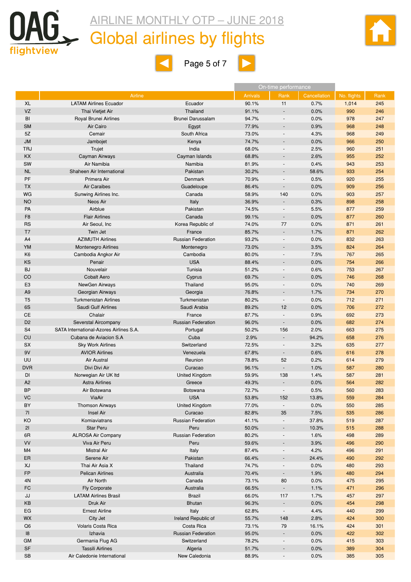

## Global airlines by flights



 $\blacksquare$ 



|                |                                         |                           |                 | On-time performance      |              |             |      |
|----------------|-----------------------------------------|---------------------------|-----------------|--------------------------|--------------|-------------|------|
|                | Airline                                 |                           | <b>Arrivals</b> | Rank                     | Cancellation | No. flights | Rank |
| <b>XL</b>      | <b>LATAM Airlines Ecuador</b>           | Ecuador                   | 90.1%           | 11                       | 0.7%         | 1,014       | 245  |
| VZ             | Thai Vietjet Air                        | Thailand                  | 91.1%           |                          | 0.0%         | 990         | 246  |
| BI             | Royal Brunei Airlines                   | Brunei Darussalam         | 94.7%           |                          | 0.0%         | 978         | 247  |
| <b>SM</b>      | Air Cairo                               | Egypt                     | 77.9%           | $\overline{\phantom{a}}$ | 0.9%         | 968         | 248  |
| 5Z             | Cemair                                  | South Africa              | 73.0%           |                          | 4.3%         | 968         | 249  |
| <b>JM</b>      | Jambojet                                | Kenya                     | 74.7%           | ÷,                       | 0.0%         | 966         | 250  |
| <b>TRJ</b>     | Trujet                                  | India                     | 68.0%           | $\overline{\phantom{a}}$ | 2.5%         | 960         | 251  |
| <b>KX</b>      | Cayman Airways                          | Cayman Islands            | 68.8%           |                          | 2.6%         | 955         | 252  |
| SW             | Air Namibia                             | Namibia                   | 81.9%           | $\blacksquare$           | 0.4%         | 943         | 253  |
| <b>NL</b>      | Shaheen Air International               | Pakistan                  | 30.2%           |                          | 58.6%        | 933         | 254  |
| PF             | Primera Air                             | Denmark                   | 70.9%           | $\overline{a}$           | 0.5%         | 920         | 255  |
| TX             | <b>Air Caraibes</b>                     | Guadeloupe                | 86.4%           | $\overline{\phantom{a}}$ | 0.0%         | 909         | 256  |
| WG             | Sunwing Airlines Inc.                   | Canada                    | 58.9%           | 140                      | 0.0%         | 903         | 257  |
| <b>NO</b>      | Neos Air                                | Italy                     | 36.9%           |                          | 0.3%         | 898         | 258  |
| PA             | Airblue                                 | Pakistan                  | 74.5%           | $\overline{\phantom{a}}$ | 5.5%         | 877         | 259  |
| F <sub>8</sub> | <b>Flair Airlines</b>                   | Canada                    | 99.1%           | $\overline{\phantom{a}}$ | 0.0%         | 877         | 260  |
| <b>RS</b>      | Air Seoul, Inc                          | Korea Republic of         | 74.0%           | 77                       | 0.0%         | 871         | 261  |
| T7             | <b>Twin Jet</b>                         | France                    | 85.7%           | $\overline{\phantom{a}}$ | 1.7%         | 871         | 262  |
| A4             | <b>AZIMUTH Airlines</b>                 | <b>Russian Federation</b> | 93.2%           | $\blacksquare$           | 0.0%         | 832         | 263  |
| YM             | <b>Montenegro Airlines</b>              | Montenegro                | 73.0%           |                          | 3.5%         | 824         | 264  |
| K <sub>6</sub> | Cambodia Angkor Air                     | Cambodia                  | 80.0%           | $\overline{\phantom{a}}$ | 7.5%         | 767         | 265  |
| KS             | Penair                                  | <b>USA</b>                | 88.4%           |                          | 0.0%         | 754         | 266  |
| <b>BJ</b>      | Nouvelair                               | Tunisia                   | 51.2%           | $\blacksquare$           | 0.6%         | 753         | 267  |
| CO             | <b>Cobalt Aero</b>                      | Cyprus                    | 69.7%           |                          | 0.0%         | 746         | 268  |
| E <sub>3</sub> | NewGen Airways                          | Thailand                  | 95.0%           | $\blacksquare$           | 0.0%         | 740         | 269  |
| A <sub>9</sub> | Georgian Airways                        | Georgia                   | 76.8%           | $\overline{\phantom{a}}$ | 1.7%         | 734         | 270  |
| T <sub>5</sub> | <b>Turkmenistan Airlines</b>            | Turkmenistan              | 80.2%           |                          | 0.0%         | 712         | 271  |
| 6S             | Saudi Gulf Airlines                     | Saudi Arabia              | 89.2%           | 12                       | 0.0%         | 706         | 272  |
| СE             | Chalair                                 | France                    | 87.7%           | $\blacksquare$           | 0.9%         | 692         | 273  |
| D <sub>2</sub> | Severstal Aircompany                    | <b>Russian Federation</b> | 96.0%           | $\overline{\phantom{a}}$ | 0.0%         | 682         | 274  |
| S <sub>4</sub> | SATA International-Azores Airlines S.A. | Portugal                  | 50.2%           | 156                      | 2.0%         | 663         | 275  |
| CU             | Cubana de Aviacion S.A                  | Cuba                      | 2.9%            | $\blacksquare$           | 94.2%        | 658         | 276  |
| <b>SX</b>      | <b>Sky Work Airlines</b>                | Switzerland               | 72.5%           | $\overline{a}$           | 3.2%         | 635         | 277  |
| 9V             | <b>AVIOR Airlines</b>                   | Venezuela                 | 67.8%           | $\overline{\phantom{a}}$ | 0.6%         | 616         | 278  |
| <b>UU</b>      | Air Austral                             | Reunion                   | 78.8%           | 52                       | 0.2%         | 614         | 279  |
| <b>DVR</b>     | Divi Divi Air                           | Curacao                   | 96.1%           |                          | 1.0%         | 587         | 280  |
| DI             | Norwegian Air UK Itd                    | United Kingdom            | 59.9%           | 138                      | 1.4%         | 587         | 281  |
| A <sub>2</sub> | <b>Astra Airlines</b>                   | Greece                    | 49.3%           |                          | 0.0%         | 564         | 282  |
| <b>BP</b>      | Air Botswana                            | Botswana                  | 72.7%           |                          | 0.5%         | 560         | 283  |
| VC             | ViaAir                                  | <b>USA</b>                | 53.8%           | 152                      | 13.8%        | 559         | 284  |
| BY             | <b>Thomson Airways</b>                  | United Kingdom            | 77.0%           | $\overline{\phantom{a}}$ | 0.0%         | 550         | 285  |
| 71             | <b>Insel Air</b>                        | Curacao                   | 82.8%           | 35                       | 7.5%         | 535         | 286  |
| KO             | Komiaviatrans                           | <b>Russian Federation</b> | 41.1%           |                          | 37.8%        | 519         | 287  |
| 21             | <b>Star Peru</b>                        | Peru                      | 50.0%           |                          | 10.3%        | 515         | 288  |
| 6R             | <b>ALROSA Air Company</b>               | <b>Russian Federation</b> | 80.2%           | $\overline{\phantom{a}}$ | 1.6%         | 498         | 289  |
| VV             | Viva Air Peru                           | Peru                      | 59.6%           |                          | 3.9%         | 496         | 290  |
| M4             | <b>Mistral Air</b>                      | Italy                     | 87.4%           |                          | 4.2%         | 496         | 291  |
| ER             | Serene Air                              | Pakistan                  | 66.4%           |                          | 24.4%        | 490         | 292  |
| XJ             | Thai Air Asia X                         | Thailand                  | 74.7%           |                          | 0.0%         | 480         | 293  |
| <b>FP</b>      | <b>Pelican Airlines</b>                 | Australia                 | 70.4%           |                          | 1.9%         | 480         | 294  |
| 4N             | Air North                               | Canada                    | 73.1%           | 80                       | 0.0%         | 475         | 295  |
| FC             | Fly Corporate                           | Australia                 | 66.5%           |                          | 1.1%         | 471         | 296  |
| JJ             | <b>LATAM Airlines Brasil</b>            | <b>Brazil</b>             | 66.0%           | 117                      | 1.7%         | 457         | 297  |
| KΒ             | Druk Air                                | <b>Bhutan</b>             | 96.3%           |                          | 0.0%         | 454         | 298  |
| EG             | <b>Ernest Airline</b>                   | Italy                     | 62.8%           |                          | 4.4%         | 440         | 299  |
| <b>WX</b>      | City Jet                                | Ireland Republic of       | 55.7%           | 148                      | 2.8%         | 424         | 300  |
| Q6             | Volaris Costa Rica                      | Costa Rica                | 73.1%           | 79                       | 16.1%        | 424         | 301  |
| 18             | Izhavia                                 | <b>Russian Federation</b> | 95.0%           |                          | 0.0%         | 422         | 302  |
| <b>GM</b>      | Germania Flug AG                        | Switzerland               | 78.2%           | $\overline{\phantom{a}}$ | 0.0%         | 415         | 303  |
| <b>SF</b>      | <b>Tassili Airlines</b>                 | Algeria                   | 51.7%           |                          | 0.0%         | 389         | 304  |
| SB             | Air Caledonie International             | New Caledonia             | 88.9%           | $\blacksquare$           | 0.0%         | 385         | 305  |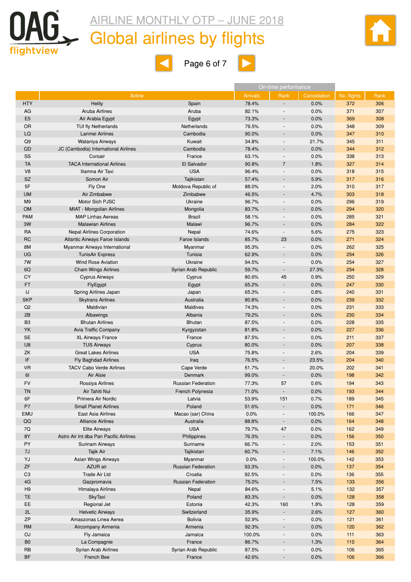



 $\blacktriangleleft$ 



|                | Airline                                |                                 | <b>Arrivals</b> | Rank                     | Cancellation | No. flights | Rank |
|----------------|----------------------------------------|---------------------------------|-----------------|--------------------------|--------------|-------------|------|
| <b>HTY</b>     | <b>Helity</b>                          | Spain                           | 78.4%           |                          | 0.0%         | 372         | 306  |
| AG             | <b>Aruba Airlines</b>                  | Aruba                           | 82.1%           |                          | 0.0%         | 371         | 307  |
| E <sub>5</sub> | Air Arabia Egypt                       | Egypt                           | 73.3%           |                          | 0.0%         | 369         | 308  |
| OR             | <b>TUI fly Netherlands</b>             | Netherlands                     | 79.5%           |                          | 0.0%         | 348         | 309  |
| LQ             | Lanmei Airlines                        | Cambodia                        | 90.0%           |                          | 0.0%         | 347         | 310  |
| Q9             | Wataniya Airways                       | Kuwait                          | 34.8%           |                          | 21.7%        | 345         | 311  |
| QD             | JC (Cambodia) International Airlines   | Cambodia                        | 78.4%           |                          | 0.0%         | 344         | 312  |
| SS             | Corsair                                | France                          | 63.1%           | $\overline{\phantom{a}}$ | 0.0%         | 338         | 313  |
| TA             | <b>TACA International Airlines</b>     | El Salvador                     | 90.8%           | $\overline{7}$           | 1.8%         | 327         | 314  |
| V <sub>8</sub> | Iliamna Air Taxi                       | <b>USA</b>                      | 96.4%           |                          | 0.0%         | 318         | 315  |
| SZ             | Somon Air                              | Tajikistan                      | 57.4%           |                          | 5.9%         | 317         | 316  |
| 5F             |                                        |                                 | 88.0%           |                          | 2.0%         | 310         | 317  |
|                | Fly One<br>Air Zimbabwe                | Moldova Republic of<br>Zimbabwe |                 |                          | 4.7%         | 303         | 318  |
| UM             | Motor Sich PJSC                        | Ukraine                         | 46.5%           |                          |              |             | 319  |
| M <sub>9</sub> |                                        |                                 | 96.7%           |                          | 0.0%         | 296         |      |
| <b>OM</b>      | MIAT - Mongolian Airlines              | Mongolia                        | 83.7%           |                          | 0.0%         | 294         | 320  |
| PAM            | <b>MAP Linhas Aereas</b>               | <b>Brazil</b>                   | 58.1%           |                          | 0.0%         | 285         | 321  |
| 3W             | <b>Malawian Airlines</b>               | Malawi                          | 96.7%           |                          | 0.0%         | 284         | 322  |
| RA             | <b>Nepal Airlines Corporation</b>      | Nepal                           | 74.6%           |                          | 5.6%         | 275         | 323  |
| RC             | Atlantic Airways Faroe Islands         | Faroe Islands                   | 85.7%           | 23                       | 0.0%         | 271         | 324  |
| 8M             | Myanmar Airways International          | Myanmar                         | 95.3%           |                          | 0.0%         | 262         | 325  |
| UG             | <b>TunisAir Express</b>                | Tunisia                         | 62.9%           |                          | 0.0%         | 254         | 326  |
| 7W             | <b>Wind Rose Aviation</b>              | Ukraine                         | 94.5%           |                          | 0.0%         | 254         | 327  |
| 6Q             | <b>Cham Wings Airlines</b>             | Syrian Arab Republic            | 59.7%           |                          | 27.3%        | 254         | 328  |
| СY             | <b>Cyprus Airways</b>                  | Cyprus                          | 80.6%           | 45                       | 0.9%         | 250         | 329  |
| FT             | FlyEgypt                               | Egypt                           | 65.2%           |                          | 0.0%         | 247         | 330  |
| IJ             | Spring Airlines Japan                  | Japan                           | 65.3%           |                          | 0.8%         | 240         | 331  |
| SKP            | <b>Skytrans Airlines</b>               | Australia                       | 80.8%           |                          | 0.0%         | 239         | 332  |
| Q2             | Maldivian                              | <b>Maldives</b>                 | 74.3%           |                          | 0.0%         | 231         | 333  |
| 2B             | Albawings                              | Albania                         | 79.2%           |                          | 0.0%         | 230         | 334  |
| B <sub>3</sub> | <b>Bhutan Airlines</b>                 | <b>Bhutan</b>                   | 87.5%           |                          | 0.0%         | 228         | 335  |
| YK             | <b>Avia Traffic Company</b>            | Kyrgyzstan                      | 81.8%           |                          | 0.0%         | 227         | 336  |
| <b>SE</b>      | <b>XL Airways France</b>               | France                          | 87.5%           |                          | 0.0%         | 211         | 337  |
| U8             | <b>TUS Airways</b>                     | Cyprus                          | 80.0%           |                          | 0.0%         | 207         | 338  |
| ΖK             | <b>Great Lakes Airlines</b>            | <b>USA</b>                      | 75.8%           |                          | 2.6%         | 204         | 339  |
|                |                                        |                                 | 76.5%           |                          |              |             |      |
| IF             | <b>Fly Baghdad Airlines</b>            | Iraq                            |                 |                          | 23.5%        | 204         | 340  |
| VR             | <b>TACV Cabo Verde Airlines</b>        | Cape Verde                      | 51.7%           |                          | 20.0%        | 202         | 341  |
| 6I             | Air Alsie                              | <b>Denmark</b>                  | 99.0%           |                          | 0.0%         | 198         | 342  |
| FV             | Rossiya Airlines                       | <b>Russian Federation</b>       | 77.3%           | 57                       | 0.6%         | 194         | 343  |
| ΤN             | Air Tahiti Nui                         | French Polynesia                | 71.0%           |                          | 0.0%         | 193         | 344  |
| 6F             | Primera Air Nordic                     | Latvia                          | 53.9%           | 151                      | 0.7%         | 189         | 345  |
| ${\sf P7}$     | <b>Small Planet Airlines</b>           | Poland                          | 51.6%           |                          | 0.0%         | 171         | 346  |
| EMU            | East Asia Airlines                     | Macao (sar) China               | 0.0%            |                          | 100.0%       | 166         | 347  |
| QQ             | <b>Alliance Airlines</b>               | Australia                       | 88.8%           | $\overline{\phantom{a}}$ | 0.0%         | 164         | 348  |
| 7Q             | Elite Airways                          | <b>USA</b>                      | 79.7%           | 47                       | 0.0%         | 162         | 349  |
| 8Y             | Astro Air Int dba Pan Pacific Airlines | Philippines                     | 76.3%           |                          | 0.0%         | 156         | 350  |
| PY             | Surinam Airways                        | Suriname                        | 66.7%           |                          | 2.0%         | 153         | 351  |
| 7J             | Tajik Air                              | Tajikistan                      | 60.7%           |                          | 7.1%         | 146         | 352  |
| YJ             | Asian Wings Airways                    | Myanmar                         | 0.0%            | $\overline{\phantom{a}}$ | 100.0%       | 142         | 353  |
| ZF             | AZUR air                               | <b>Russian Federation</b>       | 93.3%           |                          | 0.0%         | 137         | 354  |
| C <sub>3</sub> | Trade Air Ltd                          | Croatia                         | 92.5%           |                          | 0.0%         | 136         | 355  |
| 4G             | Gazpromavia                            | <b>Russian Federation</b>       | 75.0%           |                          | 7.5%         | 133         | 356  |
|                | Himalaya Airlines                      |                                 |                 |                          |              |             |      |
| H <sub>9</sub> |                                        | Nepal                           | 84.6%           |                          | 5.1%         | 132         | 357  |
| TE             | <b>SkyTaxi</b>                         | Poland                          | 83.3%           | $\overline{\phantom{a}}$ | 0.0%         | 128         | 358  |
| EE             | Regional Jet                           | Estonia                         | 42.3%           | 160                      | 1.8%         | 128         | 359  |
| 2L             | <b>Helvetic Airways</b>                | Switzerland                     | 35.9%           |                          | 2.6%         | 127         | 360  |
| <b>ZP</b>      | Amaszonas Linea Aerea                  | <b>Bolivia</b>                  | 52.9%           | $\overline{\phantom{a}}$ | 0.0%         | 121         | 361  |
| RM             | Aircompany Armenia                     | Armenia                         | 92.3%           |                          | 0.0%         | 120         | 362  |
| OJ             | Fly Jamaica                            | Jamaica                         | 100.0%          | $\blacksquare$           | 0.0%         | 111         | 363  |
| B <sub>0</sub> | La Compagnie                           | France                          | 86.7%           |                          | 1.3%         | 110         | 364  |
| RB             | Syrian Arab Airlines                   | Syrian Arab Republic            | 87.5%           |                          | 0.0%         | 106         | 365  |

BF French Bee France 42.6% - 0.0% 106 366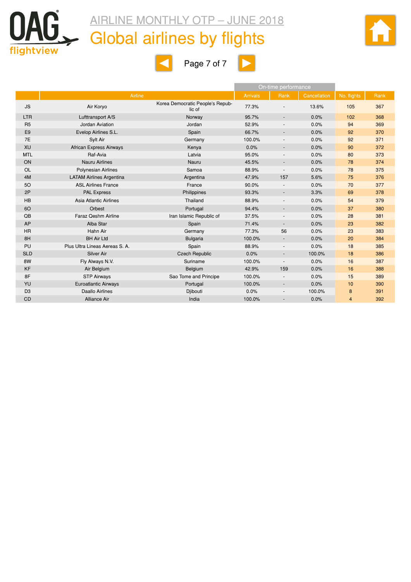



 $\blacksquare$ 



|                |                                 |                                            |                 | On-time performance      |              |             |      |
|----------------|---------------------------------|--------------------------------------------|-----------------|--------------------------|--------------|-------------|------|
|                | Airline                         |                                            | <b>Arrivals</b> | Rank                     | Cancellation | No. flights | Rank |
| <b>JS</b>      | Air Koryo                       | Korea Democratic People's Repub-<br>lic of | 77.3%           |                          | 13.6%        | 105         | 367  |
| <b>LTR</b>     | Lufttransport A/S               | Norway                                     | 95.7%           | $\blacksquare$           | 0.0%         | 102         | 368  |
| R <sub>5</sub> | Jordan Aviation                 | Jordan                                     | 52.9%           | $\overline{\phantom{a}}$ | 0.0%         | 94          | 369  |
| E <sub>9</sub> | Evelop Airlines S.L.            | Spain                                      | 66.7%           | $\overline{\phantom{a}}$ | 0.0%         | 92          | 370  |
| 7E             | Sylt Air                        | Germany                                    | 100.0%          | $\overline{\phantom{a}}$ | 0.0%         | 92          | 371  |
| XU             | <b>African Express Airways</b>  | Kenya                                      | 0.0%            | $\overline{\phantom{a}}$ | 0.0%         | 90          | 372  |
| <b>MTL</b>     | Raf-Avia                        | Latvia                                     | 95.0%           | $\overline{a}$           | 0.0%         | 80          | 373  |
| ON             | <b>Nauru Airlines</b>           | Nauru                                      | 45.5%           | $\overline{\phantom{a}}$ | 0.0%         | 78          | 374  |
| <b>OL</b>      | <b>Polynesian Airlines</b>      | Samoa                                      | 88.9%           | $\overline{\phantom{a}}$ | 0.0%         | 78          | 375  |
| 4M             | <b>LATAM Airlines Argentina</b> | Argentina                                  | 47.9%           | 157                      | 5.6%         | 75          | 376  |
| 50             | <b>ASL Airlines France</b>      | France                                     | 90.0%           |                          | 0.0%         | 70          | 377  |
| 2P             | <b>PAL Express</b>              | Philippines                                | 93.3%           | $\blacksquare$           | 3.3%         | 69          | 378  |
| <b>HB</b>      | Asia Atlantic Airlines          | Thailand                                   | 88.9%           | $\overline{\phantom{a}}$ | 0.0%         | 54          | 379  |
| 60             | Orbest                          | Portugal                                   | 94.4%           | $\overline{\phantom{a}}$ | 0.0%         | 37          | 380  |
| QB             | Faraz Qeshm Airline             | Iran Islamic Republic of                   | 37.5%           | $\overline{a}$           | 0.0%         | 28          | 381  |
| <b>AP</b>      | Alba Star                       | Spain                                      | 71.4%           | $\overline{\phantom{a}}$ | 0.0%         | 23          | 382  |
| <b>HR</b>      | Hahn Air                        | Germany                                    | 77.3%           | 56                       | 0.0%         | 23          | 383  |
| 8H             | <b>BH Air Ltd</b>               | <b>Bulgaria</b>                            | 100.0%          | $\overline{\phantom{a}}$ | 0.0%         | 20          | 384  |
| PU             | Plus Ultra Lineas Aereas S. A.  | Spain                                      | 88.9%           | $\blacksquare$           | 0.0%         | 18          | 385  |
| <b>SLD</b>     | <b>Silver Air</b>               | <b>Czech Republic</b>                      | 0.0%            | $\overline{\phantom{a}}$ | 100.0%       | 18          | 386  |
| 8W             | Fly Always N.V.                 | Suriname                                   | 100.0%          | $\overline{\phantom{a}}$ | 0.0%         | 16          | 387  |
| <b>KF</b>      | Air Belgium                     | Belgium                                    | 42.9%           | 159                      | 0.0%         | 16          | 388  |
| 8F             | <b>STP Airways</b>              | Sao Tome and Principe                      | 100.0%          | $\overline{\phantom{a}}$ | 0.0%         | 15          | 389  |
| YU             | <b>Euroatlantic Airways</b>     | Portugal                                   | 100.0%          | $\overline{\phantom{a}}$ | 0.0%         | 10          | 390  |
| D <sub>3</sub> | Daallo Airlines                 | Djibouti                                   | 0.0%            | $\overline{\phantom{a}}$ | 100.0%       | 8           | 391  |
| <b>CD</b>      | <b>Alliance Air</b>             | India                                      | 100.0%          | ٠                        | 0.0%         | 4           | 392  |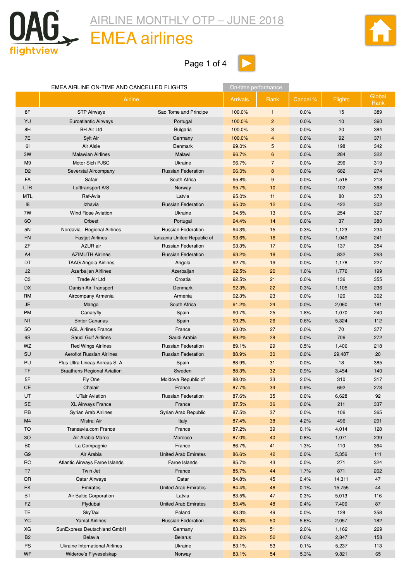<span id="page-9-0"></span>

### EMEA airlines

Page 1 of 4



|                 | EMEA AIRLINE ON-TIME AND CANCELLED FLIGHTS |                             | On-time performance |                |          |                |                |
|-----------------|--------------------------------------------|-----------------------------|---------------------|----------------|----------|----------------|----------------|
|                 | Airline                                    |                             | <b>Arrivals</b>     | Rank           | Cancel % | <b>Flights</b> | Global<br>Rank |
| 8F              | <b>STP Airways</b>                         | Sao Tome and Principe       | 100.0%              | $\mathbf{1}$   | 0.0%     | 15             | 389            |
| YU              | <b>Euroatlantic Airways</b>                | Portugal                    | 100.0%              | $\overline{2}$ | 0.0%     | 10             | 390            |
| 8H              | <b>BH Air Ltd</b>                          | <b>Bulgaria</b>             | 100.0%              | 3              | 0.0%     | 20             | 384            |
| 7E              | Sylt Air                                   | Germany                     | 100.0%              | $\overline{4}$ | 0.0%     | 92             | 371            |
| 61              | Air Alsie                                  | Denmark                     | 99.0%               | 5              | 0.0%     | 198            | 342            |
| 3W              | <b>Malawian Airlines</b>                   | Malawi                      | 96.7%               | 6              | 0.0%     | 284            | 322            |
| M <sub>9</sub>  | Motor Sich PJSC                            | Ukraine                     | 96.7%               | $\overline{7}$ | 0.0%     | 296            | 319            |
| D <sub>2</sub>  | Severstal Aircompany                       | <b>Russian Federation</b>   | 96.0%               | 8              | 0.0%     | 682            | 274            |
| FA              | Safair                                     | South Africa                | 95.8%               | 9              | 0.0%     | 1,516          | 213            |
| <b>LTR</b>      | Lufttransport A/S                          | Norway                      | 95.7%               | 10             | 0.0%     | 102            | 368            |
| <b>MTL</b>      | Raf-Avia                                   | Latvia                      | 95.0%               | 11             | 0.0%     | 80             | 373            |
| 8               | Izhavia                                    | <b>Russian Federation</b>   | 95.0%               | 12             | 0.0%     | 422            | 302            |
| 7W              | <b>Wind Rose Aviation</b>                  | Ukraine                     | 94.5%               | 13             | 0.0%     | 254            | 327            |
| 60              | Orbest                                     | Portugal                    | 94.4%               | 14             | 0.0%     | 37             | 380            |
| 5N              | Nordavia - Regional Airlines               | <b>Russian Federation</b>   | 94.3%               | 15             | 0.3%     | 1,123          | 234            |
| <b>FN</b>       | <b>Fastjet Airlines</b>                    | Tanzania United Republic of | 93.6%               | 16             | 0.0%     | 1,049          | 241            |
| ZF              | <b>AZUR</b> air                            | <b>Russian Federation</b>   | 93.3%               | 17             | 0.0%     | 137            | 354            |
| A4              | <b>AZIMUTH Airlines</b>                    | <b>Russian Federation</b>   | 93.2%               | 18             | 0.0%     | 832            | 263            |
| DT              | <b>TAAG Angola Airlines</b>                | Angola                      | 92.7%               | 19             | 0.0%     | 1,178          | 227            |
| J2              | Azerbaijan Airlines                        | Azerbaijan                  | 92.5%               | 20             | 1.0%     | 1,776          | 199            |
| C <sub>3</sub>  | <b>Trade Air Ltd</b>                       | Croatia                     | 92.5%               | 21             | 0.0%     | 136            | 355            |
| <b>DX</b>       | Danish Air Transport                       | Denmark                     | 92.3%               | 22             | 0.3%     | 1,105          | 236            |
| <b>RM</b>       | Aircompany Armenia                         | Armenia                     | 92.3%               | 23             | 0.0%     | 120            | 362            |
| <b>JE</b>       | Mango                                      | South Africa                | 91.2%               | 24             | 0.0%     | 2,060          | 181            |
| <b>PM</b>       | Canaryfly                                  | Spain                       | 90.7%               | 25             | 1.8%     | 1,070          | 240            |
| <b>NT</b>       | <b>Binter Canarias</b>                     | Spain                       | 90.2%               | 26             | 0.6%     | 5,324          | 112            |
| 50              | <b>ASL Airlines France</b>                 | France                      | 90.0%               | 27             | 0.0%     | 70             | 377            |
| 6S              | Saudi Gulf Airlines                        | Saudi Arabia                | 89.2%               | 28             | 0.0%     | 706            | 272            |
| WZ              | <b>Red Wings Airlines</b>                  | <b>Russian Federation</b>   | 89.1%               | 29             | 0.5%     | 1,406          | 218            |
| SU              | <b>Aeroflot Russian Airlines</b>           | <b>Russian Federation</b>   | 88.9%               | 30             | 0.0%     | 29,487         | 20             |
| PU              | Plus Ultra Lineas Aereas S. A.             | Spain                       | 88.9%               | 31             | 0.0%     | 18             | 385            |
| <b>TF</b>       | <b>Braathens Regional Aviation</b>         | Sweden                      | 88.3%               | 32             | 0.9%     | 3,454          | 140            |
| 5F              | Fly One                                    | Moldova Republic of         | 88.0%               | 33             | 2.0%     | 310            | 317            |
| <b>CE</b>       | Chalair                                    | France                      | 87.7%               | 34             | 0.9%     | 692            | 273            |
| UT              | <b>UTair Aviation</b>                      | <b>Russian Federation</b>   | 87.6%               | 35             | 0.0%     | 6,628          | 92             |
| SE              | <b>XL Airways France</b>                   | France                      | 87.5%               | 36             | 0.0%     | 211            | 337            |
| RB              | Syrian Arab Airlines                       | Syrian Arab Republic        | 87.5%               | 37             | 0.0%     | 106            | 365            |
| M4              | <b>Mistral Air</b>                         | Italy                       | 87.4%               | 38             | 4.2%     | 496            | 291            |
| <b>TO</b>       | Transavia.com France                       | France                      | 87.2%               | 39             | 0.1%     | 4,014          | 128            |
| 30 <sup>°</sup> | Air Arabia Maroc                           | Morocco                     | 87.0%               | 40             | 0.8%     | 1,071          | 239            |
| B <sub>0</sub>  | La Compagnie                               | France                      | 86.7%               | 41             | 1.3%     | 110            | 364            |
| G <sub>9</sub>  | Air Arabia                                 | <b>United Arab Emirates</b> | 86.6%               | 42             | 0.0%     | 5,356          | 111            |
| <b>RC</b>       | <b>Atlantic Airways Faroe Islands</b>      | Faroe Islands               | 85.7%               | 43             | 0.0%     | 271            | 324            |
| T7              | Twin Jet                                   | France                      | 85.7%               | 44             | 1.7%     | 871            | 262            |
| $\sf QR$        | Qatar Airways                              | Qatar                       | 84.8%               | 45             | 0.4%     | 14,311         | 47             |
| EK              | Emirates                                   | <b>United Arab Emirates</b> | 84.4%               | 46             | 0.1%     | 15,755         | 44             |
| <b>BT</b>       | Air Baltic Corporation                     | Latvia                      | 83.5%               | 47             | 0.3%     | 5,013          | 116            |
| FZ              | Flydubai                                   | <b>United Arab Emirates</b> | 83.4%               | 48             | 0.4%     | 7,406          | 87             |
| <b>TE</b>       | <b>SkyTaxi</b>                             | Poland                      | 83.3%               | 49             | 0.0%     | 128            | 358            |
| YC              | <b>Yamal Airlines</b>                      | <b>Russian Federation</b>   | 83.3%               | 50             | 5.6%     | 2,057          | 182            |
| XG              | SunExpress Deutschland GmbH                | Germany                     | 83.2%               | 51             | 2.0%     | 1,162          | 229            |
| <b>B2</b>       | <b>Belavia</b>                             | <b>Belarus</b>              | 83.2%               | 52             | 0.0%     | 2,847          | 158            |
| PS              | Ukraine International Airlines             | Ukraine                     | 83.1%               | 53             | 0.1%     | 5,237          | 113            |
| WF              | Wideroe's Flyveselskap                     | Norway                      | 83.1%               | 54             | 5.3%     | 9,821          | 65             |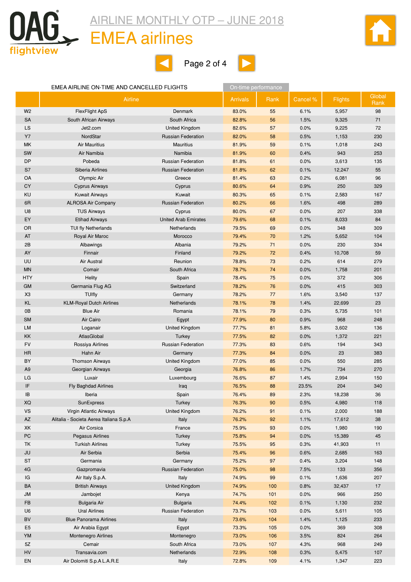

### EMEA airlines







#### EMEA AIRLINE ON-TIME AND CANCELLED FLIGHTS **ON-time performance**

|                | Airline                                 |                             | <b>Arrivals</b> | Rank | Cancel % | <b>Flights</b> | Global<br>Rank |
|----------------|-----------------------------------------|-----------------------------|-----------------|------|----------|----------------|----------------|
| W <sub>2</sub> | <b>FlexFlight ApS</b>                   | Denmark                     | 83.0%           | 55   | 6.1%     | 5,957          | 98             |
| <b>SA</b>      | South African Airways                   | South Africa                | 82.8%           | 56   | 1.5%     | 9,325          | 71             |
| LS             | Jet2.com                                | United Kingdom              | 82.6%           | 57   | 0.0%     | 9,225          | 72             |
| <b>Y7</b>      | NordStar                                | <b>Russian Federation</b>   | 82.0%           | 58   | 0.5%     | 1,153          | 230            |
| MK             | <b>Air Mauritius</b>                    | <b>Mauritius</b>            | 81.9%           | 59   | 0.1%     | 1,018          | 243            |
| SW             | Air Namibia                             | Namibia                     | 81.9%           | 60   | 0.4%     | 943            | 253            |
| <b>DP</b>      | Pobeda                                  | <b>Russian Federation</b>   | 81.8%           | 61   | 0.0%     | 3,613          | 135            |
| S7             | Siberia Airlines                        | <b>Russian Federation</b>   | 81.8%           | 62   | 0.1%     | 12,247         | 55             |
| OA             | Olympic Air                             | Greece                      | 81.4%           | 63   | 0.2%     | 6,081          | 96             |
| CY             | <b>Cyprus Airways</b>                   | Cyprus                      | 80.6%           | 64   | 0.9%     | 250            | 329            |
| <b>KU</b>      | <b>Kuwait Airways</b>                   | Kuwait                      | 80.3%           | 65   | 0.1%     | 2,583          | 167            |
| 6R             | <b>ALROSA Air Company</b>               | <b>Russian Federation</b>   | 80.2%           | 66   | 1.6%     | 498            | 289            |
| U <sub>8</sub> | <b>TUS Airways</b>                      | Cyprus                      | 80.0%           | 67   | 0.0%     | 207            | 338            |
| EY             | <b>Etihad Airways</b>                   | <b>United Arab Emirates</b> | 79.6%           | 68   | 0.1%     | 8,033          | 84             |
| OR             | <b>TUI fly Netherlands</b>              | <b>Netherlands</b>          | 79.5%           | 69   | 0.0%     | 348            | 309            |
| AT             | Royal Air Maroc                         | Morocco                     | 79.4%           | 70   | 1.2%     | 5,652          | 104            |
| 2B             | Albawings                               | Albania                     | 79.2%           | 71   | 0.0%     | 230            | 334            |
| <b>AY</b>      | Finnair                                 | Finland                     | 79.2%           | 72   | 0.4%     | 10,708         | 59             |
| UU             | <b>Air Austral</b>                      | Reunion                     | 78.8%           | 73   | 0.2%     | 614            | 279            |
| <b>MN</b>      | Comair                                  | South Africa                | 78.7%           | 74   | 0.0%     | 1,758          | 201            |
| <b>HTY</b>     | Helity                                  | Spain                       | 78.4%           | 75   | 0.0%     | 372            | 306            |
| <b>GM</b>      | Germania Flug AG                        | Switzerland                 | 78.2%           | 76   | 0.0%     | 415            | 303            |
| X <sub>3</sub> | <b>TUIfly</b>                           | Germany                     | 78.2%           | 77   | 1.6%     | 3,540          | 137            |
| KL             | <b>KLM-Royal Dutch Airlines</b>         | Netherlands                 | 78.1%           | 78   | 1.4%     | 22,699         | 23             |
| 0B             | <b>Blue Air</b>                         | Romania                     | 78.1%           | 79   | 0.3%     | 5,735          | 101            |
| <b>SM</b>      | Air Cairo                               | Egypt                       | 77.9%           | 80   | 0.9%     | 968            | 248            |
| LM             | Loganair                                | United Kingdom              | 77.7%           | 81   | 5.8%     | 3,602          | 136            |
| KK             | AtlasGlobal                             | Turkey                      | 77.5%           | 82   | 0.0%     | 1,372          | 221            |
| <b>FV</b>      | Rossiya Airlines                        | <b>Russian Federation</b>   | 77.3%           | 83   | 0.6%     | 194            | 343            |
| <b>HR</b>      | Hahn Air                                | Germany                     | 77.3%           | 84   | 0.0%     | 23             | 383            |
| BY             | <b>Thomson Airways</b>                  | United Kingdom              | 77.0%           | 85   | 0.0%     | 550            | 285            |
| A <sub>9</sub> | Georgian Airways                        | Georgia                     | 76.8%           | 86   | 1.7%     | 734            | 270            |
| LG             | Luxair                                  | Luxembourg                  | 76.6%           | 87   | 1.4%     | 2,994          | 150            |
| IF             | Fly Baghdad Airlines                    | Iraq                        | 76.5%           | 88   | 23.5%    | 204            | 340            |
| IB             | Iberia                                  | Spain                       | 76.4%           | 89   | 2.3%     | 18,238         | 36             |
| XQ             | SunExpress                              | Turkey                      | 76.3%           | 90   | 0.5%     | 4,980          | 118            |
| <b>VS</b>      | Virgin Atlantic Airways                 | United Kingdom              | 76.2%           | 91   | 0.1%     | 2,000          | 188            |
| <b>AZ</b>      | Alitalia - Societa Aerea Italiana S.p.A | Italy                       | 76.2%           | 92   | 1.1%     | 17,612         | 38             |
| XK             | Air Corsica                             | France                      | 75.9%           | 93   | 0.0%     | 1,980          | 190            |
| PC             | Pegasus Airlines                        | Turkey                      | 75.8%           | 94   | 0.0%     | 15,389         | 45             |
| TK             | <b>Turkish Airlines</b>                 | Turkey                      | 75.5%           | 95   | 0.3%     | 41,903         | 11             |
| JU             | Air Serbia                              | Serbia                      | 75.4%           | 96   | 0.6%     | 2,685          | 163            |
| <b>ST</b>      | Germania                                | Germany                     | 75.2%           | 97   | 0.4%     | 3,204          | 148            |
| 4G             | Gazpromavia                             | <b>Russian Federation</b>   | 75.0%           | 98   | 7.5%     | 133            | 356            |
| IG             | Air Italy S.p.A.                        | Italy                       | 74.9%           | 99   | 0.1%     | 1,636          | 207            |
| BA             | <b>British Airways</b>                  | United Kingdom              | 74.9%           | 100  | 0.8%     | 32,437         | 17             |
| <b>JM</b>      | Jambojet                                | Kenya                       | 74.7%           | 101  | 0.0%     | 966            | 250            |
| <b>FB</b>      | <b>Bulgaria Air</b>                     | <b>Bulgaria</b>             | 74.4%           | 102  | 0.1%     | 1,130          | 232            |
| U <sub>6</sub> | <b>Ural Airlines</b>                    | <b>Russian Federation</b>   | 73.7%           | 103  | 0.0%     | 5,611          | 105            |
| <b>BV</b>      | <b>Blue Panorama Airlines</b>           | Italy                       | 73.6%           | 104  | 1.4%     | 1,125          | 233            |
| E <sub>5</sub> | Air Arabia Egypt                        | Egypt                       | 73.3%           | 105  | 0.0%     | 369            | 308            |
| YM             | Montenegro Airlines                     | Montenegro                  | 73.0%           | 106  | 3.5%     | 824            | 264            |
| 5Z             | Cemair                                  | South Africa                | 73.0%           | 107  | 4.3%     | 968            | 249            |
| HV             | Transavia.com                           | Netherlands                 | 72.9%           | 108  | 0.3%     | 5,475          | 107            |
| EN             | Air Dolomiti S.p.A L.A.R.E              | Italy                       | 72.8%           | 109  | 4.1%     | 1,347          | 223            |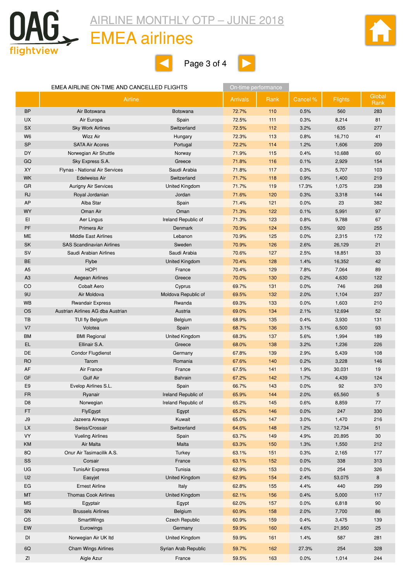

### EMEA airlines







#### EMEA AIRLINE ON-TIME AND CANCELLED FLIGHTS **ON-time performance**

|                | Airline                           |                       | <b>Arrivals</b> | Rank | Cancel % | <b>Flights</b> | Global<br>Rank |
|----------------|-----------------------------------|-----------------------|-----------------|------|----------|----------------|----------------|
| <b>BP</b>      | Air Botswana                      | <b>Botswana</b>       | 72.7%           | 110  | 0.5%     | 560            | 283            |
| <b>UX</b>      | Air Europa                        | Spain                 | 72.5%           | 111  | 0.3%     | 8,214          | 81             |
| <b>SX</b>      | <b>Sky Work Airlines</b>          | Switzerland           | 72.5%           | 112  | 3.2%     | 635            | 277            |
| W <sub>6</sub> | <b>Wizz Air</b>                   | Hungary               | 72.3%           | 113  | 0.8%     | 16,710         | 41             |
| <b>SP</b>      | <b>SATA Air Acores</b>            | Portugal              | 72.2%           | 114  | 1.2%     | 1,606          | 209            |
| DY             | Norwegian Air Shuttle             | Norway                | 71.9%           | 115  | 0.4%     | 10,688         | 60             |
| GQ             | Sky Express S.A.                  | Greece                | 71.8%           | 116  | 0.1%     | 2,929          | 154            |
| XY             | Flynas - National Air Services    | Saudi Arabia          | 71.8%           | 117  | 0.3%     | 5,707          | 103            |
| <b>WK</b>      | Edelweiss Air                     | Switzerland           | 71.7%           | 118  | 0.9%     | 1,400          | 219            |
| GR             | <b>Aurigny Air Services</b>       | <b>United Kingdom</b> | 71.7%           | 119  | 17.3%    | 1,075          | 238            |
| <b>RJ</b>      | Royal Jordanian                   | Jordan                | 71.6%           | 120  | 0.3%     | 3,318          | 144            |
| AP             | Alba Star                         | Spain                 | 71.4%           | 121  | 0.0%     | 23             | 382            |
| <b>WY</b>      | Oman Air                          | Oman                  | 71.3%           | 122  | 0.1%     | 5,991          | 97             |
| EI             | Aer Lingus                        | Ireland Republic of   | 71.3%           | 123  | 0.8%     | 9,788          | 67             |
| PF             | Primera Air                       | Denmark               | 70.9%           | 124  | 0.5%     | 920            | 255            |
| ME             | <b>Middle East Airlines</b>       | Lebanon               | 70.9%           | 125  | 0.0%     | 2,315          | 172            |
| SK             | <b>SAS Scandinavian Airlines</b>  | Sweden                | 70.9%           | 126  | 2.6%     | 26,129         | 21             |
| SV             | Saudi Arabian Airlines            | Saudi Arabia          | 70.6%           | 127  | 2.5%     | 18,851         | 33             |
| BE             | Flybe                             | United Kingdom        | 70.4%           | 128  | 1.4%     | 16,352         | 42             |
| A <sub>5</sub> | HOP!                              | France                | 70.4%           | 129  | 7.8%     | 7,064          | 89             |
| A <sub>3</sub> | Aegean Airlines                   | Greece                | 70.0%           | 130  | 0.2%     | 4,630          | 122            |
| CO             | <b>Cobalt Aero</b>                | Cyprus                | 69.7%           | 131  | 0.0%     | 746            | 268            |
| 9U             | Air Moldova                       | Moldova Republic of   | 69.5%           | 132  | 2.0%     | 1,104          | 237            |
| <b>WB</b>      | <b>Rwandair Express</b>           | Rwanda                | 69.3%           | 133  | 0.0%     | 1,603          | 210            |
| <b>OS</b>      | Austrian Airlines AG dba Austrian | Austria               | 69.0%           | 134  | 2.1%     | 12,694         | 52             |
| TB             | TUI fly Belgium                   | Belgium               | 68.9%           | 135  | 0.4%     | 3,930          | 131            |
| V <sub>7</sub> | Volotea                           | Spain                 | 68.7%           | 136  | 3.1%     | 6,500          | 93             |
| <b>BM</b>      | <b>BMI Regional</b>               | United Kingdom        | 68.3%           | 137  | 5.6%     | 1,994          | 189            |
| EL             | Ellinair S.A.                     | Greece                | 68.0%           | 138  | 3.2%     | 1,236          | 226            |
| DE             | <b>Condor Flugdienst</b>          | Germany               | 67.8%           | 139  | 2.9%     | 5,439          | 108            |
| <b>RO</b>      | Tarom                             | Romania               | 67.6%           | 140  | 0.2%     | 3,228          | 146            |
| AF             | Air France                        | France                | 67.5%           | 141  | 1.9%     | 30,031         | 19             |
| GF             | <b>Gulf Air</b>                   | <b>Bahrain</b>        | 67.2%           | 142  | 1.7%     | 4,439          | 124            |
| E <sub>9</sub> | Evelop Airlines S.L.              | Spain                 | 66.7%           | 143  | 0.0%     | 92             | 370            |
| <b>FR</b>      | Ryanair                           | Ireland Republic of   | 65.9%           | 144  | 2.0%     | 65,560         | 5              |
| D <sub>8</sub> | Norwegian                         | Ireland Republic of   | 65.2%           | 145  | 0.6%     | 8,859          | 77             |
| FT.            | FlyEgypt                          | Egypt                 | 65.2%           | 146  | 0.0%     | 247            | 330            |
| $\mathsf{J}9$  | Jazeera Airways                   | Kuwait                | 65.0%           | 147  | 3.0%     | 1,470          | 216            |
| LX             | Swiss/Crossair                    | Switzerland           | 64.6%           | 148  | 1.2%     | 12,734         | 51             |
| VY             | <b>Vueling Airlines</b>           | Spain                 | 63.7%           | 149  | 4.9%     | 20,895         | 30             |
| KM             | Air Malta                         | Malta                 | 63.3%           | 150  | 1.3%     | 1,550          | 212            |
| 8Q             | Onur Air Tasimacilik A.S.         | Turkey                | 63.1%           | 151  | 0.3%     | 2,165          | 177            |
| SS             | Corsair                           | France                | 63.1%           | 152  | 0.0%     | 338            | 313            |
| UG             | <b>TunisAir Express</b>           | Tunisia               | 62.9%           | 153  | 0.0%     | 254            | 326            |
| U <sub>2</sub> | Easyjet                           | United Kingdom        | 62.9%           | 154  | 2.4%     | 53,075         | 8              |
| EG             | <b>Ernest Airline</b>             | Italy                 | 62.8%           | 155  | 4.4%     | 440            | 299            |
| <b>MT</b>      | <b>Thomas Cook Airlines</b>       | United Kingdom        | 62.1%           | 156  | 0.4%     | 5,000          | 117            |
| <b>MS</b>      | Egyptair                          | Egypt                 | 62.0%           | 157  | 0.0%     | 6,818          | 90             |
| SN             | <b>Brussels Airlines</b>          | Belgium               | 60.9%           | 158  | 2.0%     | 7,700          | 86             |
| QS             | SmartWings                        | Czech Republic        | 60.9%           | 159  | 0.4%     | 3,475          | 139            |
| EW             | Eurowings                         | Germany               | 59.9%           | 160  | 4.6%     | 21,950         | 25             |
| DI             | Norwegian Air UK Itd              | United Kingdom        | 59.9%           | 161  | 1.4%     | 587            | 281            |
| 6Q             | <b>Cham Wings Airlines</b>        | Syrian Arab Republic  | 59.7%           | 162  | 27.3%    | 254            | 328            |
| ΖI             | Aigle Azur                        | France                | 59.5%           | 163  | 0.0%     | 1,014          | 244            |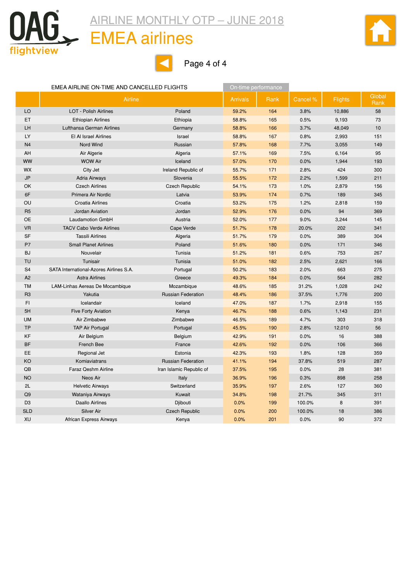

#### EMEA airlines



Page 4 of 4

|                | EMEA AIRLINE ON-TIME AND CANCELLED FLIGHTS |                           | On-time performance |      |          |         |                |
|----------------|--------------------------------------------|---------------------------|---------------------|------|----------|---------|----------------|
|                | Airline                                    |                           | <b>Arrivals</b>     | Rank | Cancel % | Flights | Global<br>Rank |
| LO             | <b>LOT - Polish Airlines</b>               | Poland                    | 59.2%               | 164  | 3.8%     | 10,886  | 58             |
| ET             | <b>Ethiopian Airlines</b>                  | Ethiopia                  | 58.8%               | 165  | 0.5%     | 9,193   | 73             |
| LH             | Lufthansa German Airlines                  | Germany                   | 58.8%               | 166  | 3.7%     | 48,049  | 10             |
| LY             | El Al Israel Airlines                      | Israel                    | 58.8%               | 167  | 0.8%     | 2,993   | 151            |
| N <sub>4</sub> | Nord Wind                                  | Russian                   | 57.8%               | 168  | 7.7%     | 3,055   | 149            |
| AH             | Air Algerie                                | Algeria                   | 57.1%               | 169  | 7.5%     | 6,164   | 95             |
| <b>WW</b>      | <b>WOW Air</b>                             | Iceland                   | 57.0%               | 170  | 0.0%     | 1,944   | 193            |
| WX             | City Jet                                   | Ireland Republic of       | 55.7%               | 171  | 2.8%     | 424     | 300            |
| <b>JP</b>      | <b>Adria Airways</b>                       | Slovenia                  | 55.5%               | 172  | 2.2%     | 1,599   | 211            |
| OK             | <b>Czech Airlines</b>                      | <b>Czech Republic</b>     | 54.1%               | 173  | 1.0%     | 2,879   | 156            |
| 6F             | Primera Air Nordic                         | Latvia                    | 53.9%               | 174  | 0.7%     | 189     | 345            |
| OU             | Croatia Airlines                           | Croatia                   | 53.2%               | 175  | 1.2%     | 2,818   | 159            |
| R <sub>5</sub> | Jordan Aviation                            | Jordan                    | 52.9%               | 176  | 0.0%     | 94      | 369            |
| OE             | Laudamotion GmbH                           | Austria                   | 52.0%               | 177  | 9.0%     | 3,244   | 145            |
| <b>VR</b>      | <b>TACV Cabo Verde Airlines</b>            | Cape Verde                | 51.7%               | 178  | 20.0%    | 202     | 341            |
| SF             | <b>Tassili Airlines</b>                    | Algeria                   | 51.7%               | 179  | 0.0%     | 389     | 304            |
| P7             | <b>Small Planet Airlines</b>               | Poland                    | 51.6%               | 180  | 0.0%     | 171     | 346            |
| <b>BJ</b>      | Nouvelair                                  | Tunisia                   | 51.2%               | 181  | 0.6%     | 753     | 267            |
| <b>TU</b>      | Tunisair                                   | Tunisia                   | 51.0%               | 182  | 2.5%     | 2,621   | 166            |
| S <sub>4</sub> | SATA International-Azores Airlines S.A.    | Portugal                  | 50.2%               | 183  | 2.0%     | 663     | 275            |
| A <sub>2</sub> | <b>Astra Airlines</b>                      | Greece                    | 49.3%               | 184  | 0.0%     | 564     | 282            |
| <b>TM</b>      | LAM-Linhas Aereas De Mocambique            | Mozambique                | 48.6%               | 185  | 31.2%    | 1,028   | 242            |
| R <sub>3</sub> | Yakutia                                    | <b>Russian Federation</b> | 48.4%               | 186  | 37.5%    | 1,776   | 200            |
| F1             | Icelandair                                 | Iceland                   | 47.0%               | 187  | 1.7%     | 2,918   | 155            |
| 5H             | <b>Five Forty Aviation</b>                 | Kenya                     | 46.7%               | 188  | 0.6%     | 1,143   | 231            |
| <b>UM</b>      | Air Zimbabwe                               | Zimbabwe                  | 46.5%               | 189  | 4.7%     | 303     | 318            |
| <b>TP</b>      | <b>TAP Air Portugal</b>                    | Portugal                  | 45.5%               | 190  | 2.8%     | 12,010  | 56             |
| KF             | Air Belgium                                | Belgium                   | 42.9%               | 191  | 0.0%     | 16      | 388            |
| <b>BF</b>      | French Bee                                 | France                    | 42.6%               | 192  | 0.0%     | 106     | 366            |
| EE             | Regional Jet                               | Estonia                   | 42.3%               | 193  | 1.8%     | 128     | 359            |
| KO             | Komiaviatrans                              | <b>Russian Federation</b> | 41.1%               | 194  | 37.8%    | 519     | 287            |
| QB             | Faraz Qeshm Airline                        | Iran Islamic Republic of  | 37.5%               | 195  | 0.0%     | 28      | 381            |
| <b>NO</b>      | Neos Air                                   | Italy                     | 36.9%               | 196  | 0.3%     | 898     | 258            |
| 2L             | <b>Helvetic Airways</b>                    | Switzerland               | 35.9%               | 197  | 2.6%     | 127     | 360            |
| Q9             | Wataniya Airways                           | Kuwait                    | 34.8%               | 198  | 21.7%    | 345     | 311            |
| D <sub>3</sub> | <b>Daallo Airlines</b>                     | Djibouti                  | 0.0%                | 199  | 100.0%   | 8       | 391            |
| <b>SLD</b>     | <b>Silver Air</b>                          | <b>Czech Republic</b>     | 0.0%                | 200  | 100.0%   | 18      | 386            |
| XU             | African Express Airways                    | Kenya                     | 0.0%                | 201  | 0.0%     | 90      | 372            |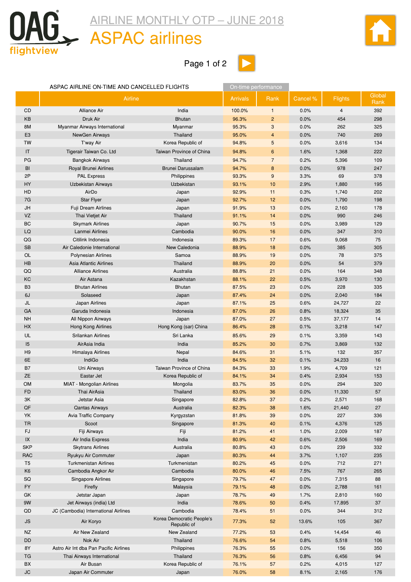<span id="page-13-0"></span>

### ASPAC airlines

Page 1 of 2



|                | ASPAC AIRLINE ON-TIME AND CANCELLED FLIGHTS |                                          | On-time performance |                |          |                |                |  |
|----------------|---------------------------------------------|------------------------------------------|---------------------|----------------|----------|----------------|----------------|--|
|                | Airline                                     |                                          | <b>Arrivals</b>     | Rank           | Cancel % | <b>Flights</b> | Global<br>Rank |  |
| CD             | Alliance Air                                | India                                    | 100.0%              | $\mathbf{1}$   | 0.0%     | $\overline{4}$ | 392            |  |
| KB             | Druk Air                                    | <b>Bhutan</b>                            | 96.3%               | $\overline{c}$ | 0.0%     | 454            | 298            |  |
| 8M             | Myanmar Airways International               | Myanmar                                  | 95.3%               | 3              | 0.0%     | 262            | 325            |  |
| E <sub>3</sub> | NewGen Airways                              | Thailand                                 | 95.0%               | 4              | 0.0%     | 740            | 269            |  |
| TW             | T'way Air                                   | Korea Republic of                        | 94.8%               | 5              | 0.0%     | 3,616          | 134            |  |
| IT             | Tigerair Taiwan Co. Ltd                     | Taiwan Province of China                 | 94.8%               | 6              | 1.6%     | 1,368          | 222            |  |
| PG             | <b>Bangkok Airways</b>                      | Thailand                                 | 94.7%               | $\overline{7}$ | 0.2%     | 5,396          | 109            |  |
| BI             | Royal Brunei Airlines                       | Brunei Darussalam                        | 94.7%               | 8              | 0.0%     | 978            | 247            |  |
| 2P             | <b>PAL Express</b>                          | Philippines                              | 93.3%               | 9              | 3.3%     | 69             | 378            |  |
| HY             | Uzbekistan Airways                          | Uzbekistan                               | 93.1%               | 10             | 2.9%     | 1,880          | 195            |  |
| HD             | AirDo                                       | Japan                                    | 92.9%               | 11             | 0.3%     | 1,740          | 202            |  |
| 7G             | <b>Star Flyer</b>                           | Japan                                    | 92.7%               | 12             | 0.0%     | 1,790          | 198            |  |
| JH             | Fuji Dream Airlines                         | Japan                                    | 91.9%               | 13             | 0.0%     | 2,160          | 178            |  |
| VZ             | Thai Vietjet Air                            | Thailand                                 | 91.1%               | 14             | 0.0%     | 990            | 246            |  |
| BC             | <b>Skymark Airlines</b>                     | Japan                                    | 90.7%               | 15             | 0.0%     | 3,989          | 129            |  |
| LQ             | Lanmei Airlines                             | Cambodia                                 | 90.0%               | 16             | 0.0%     | 347            | 310            |  |
| QG             | Citilink Indonesia                          | Indonesia                                | 89.3%               | 17             | 0.6%     | 9,068          | 75             |  |
| <b>SB</b>      | Air Caledonie International                 | New Caledonia                            | 88.9%               | 18             | 0.0%     | 385            | 305            |  |
| OL             | <b>Polynesian Airlines</b>                  | Samoa                                    | 88.9%               | 19             | 0.0%     | 78             | 375            |  |
| HB             | Asia Atlantic Airlines                      | Thailand                                 | 88.9%               | 20             | 0.0%     | 54             | 379            |  |
| QQ             | <b>Alliance Airlines</b>                    | Australia                                | 88.8%               | 21             | 0.0%     | 164            | 348            |  |
| KC             | Air Astana                                  | Kazakhstan                               | 88.1%               | 22             | 0.5%     | 3,970          | 130            |  |
| B <sub>3</sub> | <b>Bhutan Airlines</b>                      | <b>Bhutan</b>                            | 87.5%               | 23             | 0.0%     | 228            | 335            |  |
| 6J             | Solaseed                                    | Japan                                    | 87.4%               | 24             | 0.0%     | 2,040          | 184            |  |
| JL             | Japan Airlines                              | Japan                                    | 87.1%               | 25             | 0.6%     | 24,727         | 22             |  |
| GA             | Garuda Indonesia                            | Indonesia                                | 87.0%               | 26             | 0.8%     | 18,324         | 35             |  |
| <b>NH</b>      | All Nippon Airways                          | Japan                                    | 87.0%               | 27             | 0.5%     | 37,177         | 14             |  |
| НX             | Hong Kong Airlines                          | Hong Kong (sar) China                    | 86.4%               | 28             | 0.1%     | 3,218          | 147            |  |
| UL             | Srilankan Airlines                          | Sri Lanka                                | 85.6%               | 29             | 0.1%     | 3,359          | 143            |  |
| 15             | AirAsia India                               | India                                    | 85.2%               | 30             | 0.7%     | 3,869          | 132            |  |
| H <sub>9</sub> | Himalaya Airlines                           | Nepal                                    | 84.6%               | 31             | 5.1%     | 132            | 357            |  |
| 6E             | IndiGo                                      | India                                    | 84.5%               | 32             | 0.1%     | 34,233         | 16             |  |
| B7             | Uni Airways                                 | Taiwan Province of China                 | 84.3%               | 33             | 1.9%     | 4,709          | 121            |  |
| <b>ZE</b>      | Eastar Jet                                  | Korea Republic of                        | 84.1%               | 34             | 0.4%     | 2,934          | 153            |  |
| <b>OM</b>      | MIAT - Mongolian Airlines                   | Mongolia                                 | 83.7%               | 35             | 0.0%     | 294            | 320            |  |
| <b>FD</b>      | Thai AirAsia                                | Thailand                                 | 83.0%               | 36             | 0.0%     | 11,330         | 57             |  |
| 3K             | Jetstar Asia                                | Singapore                                | 82.8%               | 37             | 0.2%     | 2,571          | 168            |  |
| $\mathsf{QF}$  | <b>Qantas Airways</b>                       | Australia                                | 82.3%               | 38             | 1.6%     | 21,440         | 27             |  |
| YK             | Avia Traffic Company                        | Kyrgyzstan                               | 81.8%               | 39             | 0.0%     | 227            | 336            |  |
| <b>TR</b>      | Scoot                                       | Singapore                                | 81.3%               | 40             | 0.1%     | 4,376          | 125            |  |
| <b>FJ</b>      | Fiji Airways                                | Fiji                                     | 81.2%               | 41             | 1.0%     | 2,009          | 187            |  |
| $\sf IX$       | Air India Express                           | India                                    | 80.9%               | 42             | 0.6%     | 2,506          | 169            |  |
| <b>SKP</b>     | <b>Skytrans Airlines</b>                    | Australia                                | 80.8%               | 43             | 0.0%     | 239            | 332            |  |
| <b>RAC</b>     | Ryukyu Air Commuter                         | Japan                                    | 80.3%               | 44             | 3.7%     | 1,107          | 235            |  |
| T <sub>5</sub> | <b>Turkmenistan Airlines</b>                | Turkmenistan                             | 80.2%               | 45             | 0.0%     | 712            | 271            |  |
| K <sub>6</sub> | Cambodia Angkor Air                         | Cambodia                                 | 80.0%               | 46             | 7.5%     | 767            | 265            |  |
| SQ             | Singapore Airlines                          | Singapore                                | 79.7%               | 47             | 0.0%     | 7,315          | 88             |  |
| <b>FY</b>      | Firefly                                     | Malaysia                                 | 79.1%               | 48             | 0.0%     | 2,788          | 161            |  |
| GK             | Jetstar Japan                               | Japan                                    | 78.7%               | 49             | 1.7%     | 2,810          | 160            |  |
| 9W             | Jet Airways (india) Ltd                     | India                                    | 78.6%               | 50             | 0.4%     | 17,895         | 37             |  |
| QD             | JC (Cambodia) International Airlines        | Cambodia                                 | 78.4%               | 51             | 0.0%     | 344            | 312            |  |
| <b>JS</b>      | Air Koryo                                   | Korea Democratic People's<br>Republic of | 77.3%               | 52             | 13.6%    | 105            | 367            |  |
| <b>NZ</b>      | Air New Zealand                             | New Zealand                              | 77.2%               | 53             | 0.4%     | 14,454         | 46             |  |
| DD             | Nok Air                                     | Thailand                                 | 76.6%               | 54             | 0.8%     | 5,518          | 106            |  |
| 8Y             | Astro Air Int dba Pan Pacific Airlines      | Philippines                              | 76.3%               | 55             | 0.0%     | 156            | 350            |  |
| TG             | Thai Airways International                  | Thailand                                 | 76.3%               | 56             | 0.8%     | 6,456          | 94             |  |
| BX             | Air Busan                                   | Korea Republic of                        | 76.1%               | 57             | 0.2%     | 4,015          | 127            |  |
| JC             | Japan Air Commuter                          | Japan                                    | 76.0%               | 58             | 8.1%     | 2,165          | 176            |  |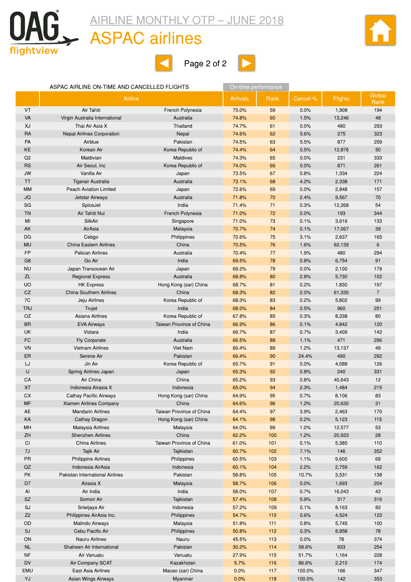

#### ASPAC airlines







#### ASPAC AIRLINE ON-TIME AND CANCELLED FLIGHTS **On-time performance**

|                | Airline                           |                          | <b>Arrivals</b> | Rank | Cancel % | <b>Flights</b> | Global<br>Rank  |
|----------------|-----------------------------------|--------------------------|-----------------|------|----------|----------------|-----------------|
| <b>VT</b>      | Air Tahiti                        | French Polynesia         | 75.0%           | 59   | 0.0%     | 1,908          | 194             |
| VA             | Virgin Australia International    | Australia                | 74.8%           | 60   | 1.5%     | 13,246         | 48              |
| XJ             | Thai Air Asia X                   | Thailand                 | 74.7%           | 61   | 0.0%     | 480            | 293             |
| <b>RA</b>      | <b>Nepal Airlines Corporation</b> | Nepal                    | 74.6%           | 62   | 5.6%     | 275            | 323             |
| <b>PA</b>      | Airblue                           | Pakistan                 | 74.5%           | 63   | 5.5%     | 877            | 259             |
| KE             | Korean Air                        | Korea Republic of        | 74.4%           | 64   | 0.5%     | 12,876         | 50              |
| Q2             | Maldivian                         | <b>Maldives</b>          | 74.3%           | 65   | 0.0%     | 231            | 333             |
| <b>RS</b>      | Air Seoul, Inc                    | Korea Republic of        | 74.0%           | 66   | 0.0%     | 871            | 261             |
| <b>JW</b>      | Vanilla Air                       | Japan                    | 73.5%           | 67   | 0.8%     | 1,334          | 224             |
| <b>TT</b>      | Tigerair Australia                | Australia                | 73.1%           | 68   | 4.2%     | 2,338          | 171             |
| <b>MM</b>      | <b>Peach Aviation Limited</b>     | Japan                    | 72.6%           | 69   | 0.0%     | 2,848          | 157             |
| JQ             | Jetstar Airways                   | Australia                | 71.8%           | 70   | 2.4%     | 9,567          | 70              |
| SG             | SpiceJet                          | India                    | 71.4%           | 71   | 0.3%     | 12,268         | 54              |
| <b>TN</b>      | Air Tahiti Nui                    | French Polynesia         | 71.0%           | 72   | 0.0%     | 193            | 344             |
| MI             | SilkAir                           | Singapore                | 71.0%           | 73   | 0.1%     | 3,616          | 133             |
| AK             | AirAsia                           | Malaysia                 | 70.7%           | 74   | 0.1%     | 17,067         | 39              |
| DG             | Cebgo                             | Philippines              | 70.6%           | 75   | 3.1%     | 2,637          | 165             |
| <b>MU</b>      | <b>China Eastern Airlines</b>     | China                    | 70.5%           | 76   | 1.6%     | 62,139         | $6\phantom{1}6$ |
| <b>FP</b>      | <b>Pelican Airlines</b>           | Australia                | 70.4%           | 77   | 1.9%     | 480            | 294             |
| G <sub>8</sub> | Go Air                            | India                    | 69.5%           | 78   | 0.8%     | 6,754          | 91              |
| <b>NU</b>      | Japan Transocean Air              | Japan                    | 69.2%           | 79   | 0.0%     | 2,100          | 179             |
| ZL             | <b>Regional Express</b>           | Australia                | 68.8%           | 80   | 2.8%     | 5,730          | 102             |
| <b>UO</b>      | <b>HK Express</b>                 | Hong Kong (sar) China    | 68.7%           | 81   | 0.2%     | 1,830          | 197             |
| CZ             | <b>China Southern Airlines</b>    | China                    | 68.3%           | 82   | 2.0%     | 61,330         | $\overline{7}$  |
| 7C             | Jeju Airlines                     | Korea Republic of        | 68.3%           | 83   | 0.2%     | 5,802          | 99              |
| <b>TRJ</b>     | Trujet                            | India                    | 68.0%           | 84   | 2.5%     | 960            | 251             |
| <b>OZ</b>      | Asiana Airlines                   | Korea Republic of        | 67.8%           | 85   | 0.3%     | 8,338          | 80              |
| <b>BR</b>      | <b>EVA Airways</b>                | Taiwan Province of China | 66.9%           | 86   | 0.1%     | 4,842          | 120             |
| UK             | Vistara                           | India                    | 66.7%           | 87   | 0.7%     | 3,409          | 142             |
| FC             | Fly Corporate                     | Australia                | 66.5%           | 88   | 1.1%     | 471            | 296             |
| VN             | <b>Vietnam Airlines</b>           | Viet Nam                 | 66.4%           | 89   | 1.2%     | 13,137         | 49              |
| ER             | Serene Air                        | Pakistan                 | 66.4%           | 90   | 24.4%    | 490            | 292             |
| LJ             | Jin Air                           | Korea Republic of        | 65.7%           | 91   | 0.0%     | 4,088          | 126             |
| IJ             | Spring Airlines Japan             | Japan                    | 65.3%           | 92   | 0.8%     | 240            | 331             |
| CA             | Air China                         | China                    | 65.2%           | 93   | 0.8%     | 40,643         | 12              |
| <b>XT</b>      | Indonesia Airasia X               | Indonesia                | 65.0%           | 94   | 2.3%     | 1,484          | 215             |
| СX             | Cathay Pacific Airways            | Hong Kong (sar) China    | 64.9%           | 95   | 0.7%     | 8,106          | 83              |
| MF             | Xiamen Airlines Company           | China                    | 64.6%           | 96   | 1.2%     | 20,630         | 31              |
| AE             | <b>Mandarin Airlines</b>          | Taiwan Province of China | 64.4%           | 97   | 3.9%     | 2,463          | 170             |
| KA             | Cathay Dragon                     | Hong Kong (sar) China    | 64.1%           | 98   | 0.2%     | 5,123          | 115             |
| MH             | Malaysia Airlines                 | Malaysia                 | 64.0%           | 99   | 1.0%     | 12,577         | 53              |
| ZH             | <b>Shenzhen Airlines</b>          | China                    | 62.2%           | 100  | 1.2%     | 20,923         | 28              |
| CI             | China Airlines                    | Taiwan Province of China | 61.0%           | 101  | 0.1%     | 5,385          | 110             |
| 7J             | Tajik Air                         | Tajikistan               | 60.7%           | 102  | 7.1%     | 146            | 352             |
| PR             | <b>Philippine Airlines</b>        | Philippines              | 60.5%           | 103  | 1.1%     | 9,600          | 69              |
| QZ             | Indonesia AirAsia                 | Indonesia                | 60.1%           | 104  | 2.2%     | 2,759          | 162             |
| PK             | Pakistan International Airlines   | Pakistan                 | 58.8%           | 105  | 10.7%    | 3,531          | 138             |
| D7             | Airasia X                         | Malaysia                 | 58.7%           | 106  | 0.0%     | 1,693          | 204             |
| Al             | Air India                         | India                    | 58.0%           | 107  | 0.7%     | 16,043         | 43              |
| <b>SZ</b>      | Somon Air                         | Tajikistan               | 57.4%           | 108  | 5.9%     | 317            | 316             |
| SJ             | Sriwijaya Air                     | Indonesia                | 57.2%           | 109  | 0.1%     | 8,163          | 82              |
| Z <sub>2</sub> | Philippines AirAsia Inc.          | Philippines              | 54.7%           | 110  | 0.6%     | 4,524          | 123             |
| OD             | Malindo Airways                   | Malaysia                 | 51.8%           | 111  | 0.8%     | 5,745          | 100             |
| 5J             | Cebu Pacific Air                  | Philippines              | 50.8%           | 112  | 0.3%     | 8,858          | 78              |
| ON             | <b>Nauru Airlines</b>             | Nauru                    | 45.5%           | 113  | 0.0%     | 78             | 374             |
| <b>NL</b>      | Shaheen Air International         | Pakistan                 | 30.2%           | 114  | 58.6%    | 933            | 254             |
| <b>NF</b>      | Air Vanuatu                       | Vanuatu                  | 27.9%           | 115  | 51.7%    | 1,164          | 228             |
| <b>DV</b>      | Air Company SCAT                  | Kazakhstan               | 5.7%            | 116  | 86.6%    | 2,210          | 174             |
| EMU            | East Asia Airlines                | Macao (sar) China        | 0.0%            | 117  | 100.0%   | 166            | 347             |
| YJ             | Asian Wings Airways               | Myanmar                  | 0.0%            | 118  | 100.0%   | 142            | 353             |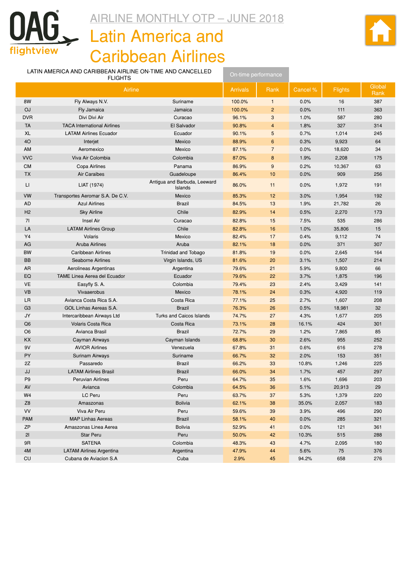<span id="page-15-0"></span>

# AIRLINE MONTHLY OTP – JUNE 2018 **Latin America and**

Caribbean Airlines



| LATIN AMERICA AND CARIBBEAN AIRLINE ON-TIME AND CANCELLED<br><b>FLIGHTS</b> |                                     | On-time performance                     |        |                 |                |                |     |
|-----------------------------------------------------------------------------|-------------------------------------|-----------------------------------------|--------|-----------------|----------------|----------------|-----|
| Airline                                                                     |                                     | <b>Arrivals</b>                         | Rank   | Cancel %        | <b>Flights</b> | Global<br>Rank |     |
| 8W                                                                          | Fly Always N.V.                     | Suriname                                | 100.0% | $\mathbf{1}$    | 0.0%           | 16             | 387 |
| OJ                                                                          | Fly Jamaica                         | Jamaica                                 | 100.0% | $\overline{2}$  | 0.0%           | 111            | 363 |
| <b>DVR</b>                                                                  | Divi Divi Air                       | Curacao                                 | 96.1%  | 3               | 1.0%           | 587            | 280 |
| <b>TA</b>                                                                   | <b>TACA International Airlines</b>  | El Salvador                             | 90.8%  | $\overline{4}$  | 1.8%           | 327            | 314 |
| XL                                                                          | <b>LATAM Airlines Ecuador</b>       | Ecuador                                 | 90.1%  | 5               | 0.7%           | 1,014          | 245 |
| 4O                                                                          | Interjet                            | Mexico                                  | 88.9%  | $6\phantom{1}6$ | 0.3%           | 9,923          | 64  |
| AM                                                                          | Aeromexico                          | Mexico                                  | 87.1%  | $\overline{7}$  | 0.0%           | 18,620         | 34  |
| <b>VVC</b>                                                                  | Viva Air Colombia                   | Colombia                                | 87.0%  | 8               | 1.9%           | 2,208          | 175 |
| <b>CM</b>                                                                   | Copa Airlines                       | Panama                                  | 86.9%  | $9\,$           | 0.2%           | 10,367         | 63  |
| <b>TX</b>                                                                   | Air Caraibes                        | Guadeloupe                              | 86.4%  | 10              | 0.0%           | 909            | 256 |
| П                                                                           | LIAT (1974)                         | Antigua and Barbuda, Leeward<br>Islands | 86.0%  | 11              | 0.0%           | 1,972          | 191 |
| VW                                                                          | Transportes Aeromar S.A. De C.V.    | Mexico                                  | 85.3%  | 12              | 3.0%           | 1,954          | 192 |
| AD                                                                          | <b>Azul Airlines</b>                | <b>Brazil</b>                           | 84.5%  | 13              | 1.9%           | 21,782         | 26  |
| H <sub>2</sub>                                                              | <b>Sky Airline</b>                  | Chile                                   | 82.9%  | 14              | 0.5%           | 2,270          | 173 |
| 71                                                                          | Insel Air                           | Curacao                                 | 82.8%  | 15              | 7.5%           | 535            | 286 |
| LA                                                                          | <b>LATAM Airlines Group</b>         | Chile                                   | 82.8%  | 16              | 1.0%           | 35,806         | 15  |
| Y4                                                                          | Volaris                             | Mexico                                  | 82.4%  | 17              | 0.4%           | 9,112          | 74  |
| AG                                                                          | <b>Aruba Airlines</b>               | Aruba                                   | 82.1%  | 18              | 0.0%           | 371            | 307 |
| <b>BW</b>                                                                   | <b>Caribbean Airlines</b>           | Trinidad and Tobago                     | 81.8%  | 19              | 0.0%           | 2,645          | 164 |
| BB                                                                          | Seaborne Airlines                   | Virgin Islands, US                      | 81.6%  | 20              | 3.1%           | 1,507          | 214 |
| AR                                                                          | Aerolineas Argentinas               | Argentina                               | 79.6%  | 21              | 5.9%           | 9,800          | 66  |
| EQ                                                                          | <b>TAME Linea Aerea del Ecuador</b> | Ecuador                                 | 79.6%  | 22              | 3.7%           | 1,875          | 196 |
| <b>VE</b>                                                                   | Easyfly S. A.                       | Colombia                                | 79.4%  | 23              | 2.4%           | 3,429          | 141 |
| <b>VB</b>                                                                   | Vivaaerobus                         | Mexico                                  | 78.1%  | 24              | 0.3%           | 4,920          | 119 |
| <b>LR</b>                                                                   | Avianca Costa Rica S.A.             | Costa Rica                              | 77.1%  | 25              | 2.7%           | 1,607          | 208 |
| G <sub>3</sub>                                                              | GOL Linhas Aereas S.A.              | <b>Brazil</b>                           | 76.3%  | 26              | 0.5%           | 18,981         | 32  |
| JY                                                                          | Intercaribbean Airways Ltd          | Turks and Caicos Islands                | 74.7%  | 27              | 4.3%           | 1,677          | 205 |
| Q <sub>6</sub>                                                              | <b>Volaris Costa Rica</b>           | Costa Rica                              | 73.1%  | 28              | 16.1%          | 424            | 301 |
| O <sub>6</sub>                                                              | Avianca Brasil                      | <b>Brazil</b>                           | 72.7%  | 29              | 1.2%           | 7,865          | 85  |
| KX                                                                          | Cayman Airways                      | Cayman Islands                          | 68.8%  | 30              | 2.6%           | 955            | 252 |
| 9V                                                                          | <b>AVIOR Airlines</b>               | Venezuela                               | 67.8%  | 31              | 0.6%           | 616            | 278 |
| PY                                                                          | <b>Surinam Airways</b>              | Suriname                                | 66.7%  | 32              | 2.0%           | 153            | 351 |
| 2Z                                                                          | Passaredo                           | <b>Brazil</b>                           | 66.2%  | 33              | 10.8%          | 1,246          | 225 |
| JJ                                                                          | <b>LATAM Airlines Brasil</b>        | <b>Brazil</b>                           | 66.0%  | 34              | 1.7%           | 457            | 297 |
| P <sub>9</sub>                                                              | Peruvian Airlines                   | Peru                                    | 64.7%  | $35\,$          | 1.6%           | 1,696          | 203 |
| AV                                                                          | Avianca                             | Colombia                                | 64.5%  | 36              | 5.1%           | 20,913         | 29  |
| W4                                                                          | LC Peru                             | Peru                                    | 63.7%  | 37              | 5.3%           | 1,379          | 220 |
| Z <sub>8</sub>                                                              | Amaszonas                           | <b>Bolivia</b>                          | 62.1%  | 38              | 35.0%          | 2,057          | 183 |
| VV                                                                          | Viva Air Peru                       | Peru                                    | 59.6%  | 39              | 3.9%           | 496            | 290 |
| <b>PAM</b>                                                                  | <b>MAP Linhas Aereas</b>            | <b>Brazil</b>                           | 58.1%  | 40              | 0.0%           | 285            | 321 |
| ZP                                                                          | Amaszonas Linea Aerea               | <b>Bolivia</b>                          | 52.9%  | 41              | 0.0%           | 121            | 361 |
| 21                                                                          | <b>Star Peru</b>                    | Peru                                    | 50.0%  | 42              | 10.3%          | 515            | 288 |
| 9R                                                                          | <b>SATENA</b>                       | Colombia                                | 48.3%  | 43              | 4.7%           | 2,095          | 180 |
| 4M                                                                          | <b>LATAM Airlines Argentina</b>     | Argentina                               | 47.9%  | 44              | 5.6%           | 75             | 376 |
| CU                                                                          | Cubana de Aviacion S.A              | Cuba                                    | 2.9%   | 45              | 94.2%          | 658            | 276 |